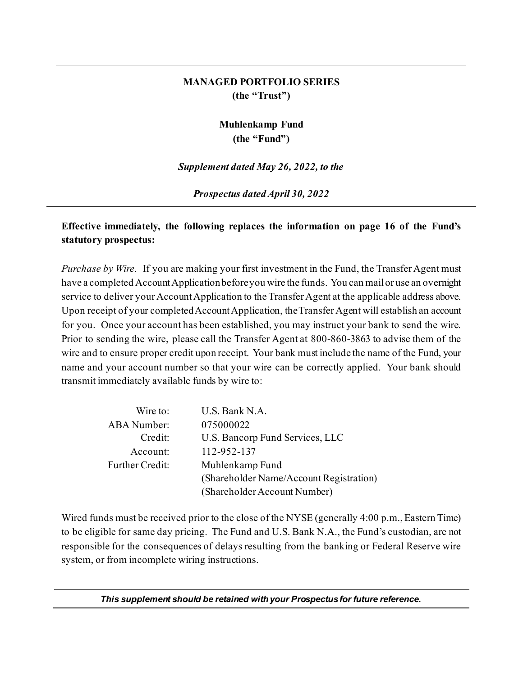### **MANAGED PORTFOLIO SERIES (the "Trust")**

## **Muhlenkamp Fund (the "Fund")**

*Supplement dated May 26, 2022, to the*

*Prospectus dated April 30, 2022*

### **Effective immediately, the following replaces the information on page 16 of the Fund's statutory prospectus:**

*Purchase by Wire.* If you are making your first investment in the Fund, the Transfer Agent must have a completed Account Application before you wire the funds. You can mail or use an overnight service to deliver your Account Application to the Transfer Agent at the applicable address above. Upon receipt of your completed Account Application, the Transfer Agent will establish an account for you. Once your account has been established, you may instruct your bank to send the wire. Prior to sending the wire, please call the Transfer Agent at 800-860-3863 to advise them of the wire and to ensure proper credit upon receipt. Your bank must include the name of the Fund, your name and your account number so that your wire can be correctly applied. Your bank should transmit immediately available funds by wire to:

| Wire to:               | U.S. Bank N.A.                          |
|------------------------|-----------------------------------------|
| <b>ABA</b> Number:     | 075000022                               |
| Credit:                | U.S. Bancorp Fund Services, LLC         |
| Account:               | 112-952-137                             |
| <b>Further Credit:</b> | Muhlenkamp Fund                         |
|                        | (Shareholder Name/Account Registration) |
|                        | (Shareholder Account Number)            |

Wired funds must be received prior to the close of the NYSE (generally 4:00 p.m., Eastern Time) to be eligible for same day pricing. The Fund and U.S. Bank N.A., the Fund's custodian, are not responsible for the consequences of delays resulting from the banking or Federal Reserve wire system, or from incomplete wiring instructions.

*This supplement should be retained with your Prospectus for future reference.*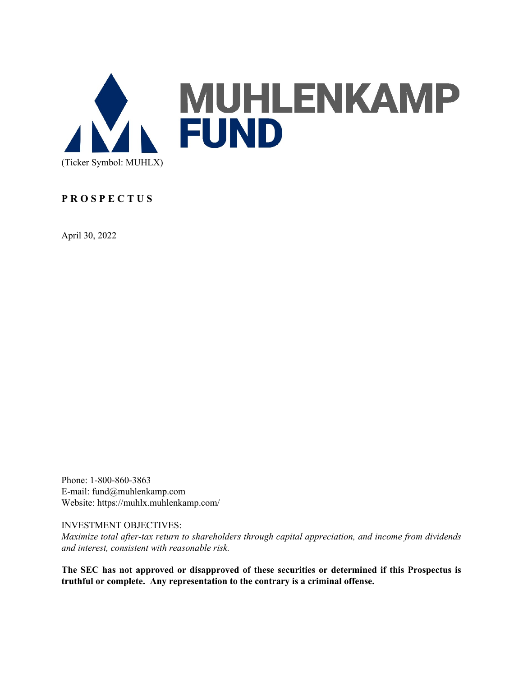

### **P R O S P E C T U S**

April 30, 2022

Phone: 1-800-860-3863 E-mail: fund@muhlenkamp.com Website: https://muhlx.muhlenkamp.com/

INVESTMENT OBJECTIVES:

*Maximize total after-tax return to shareholders through capital appreciation, and income from dividends and interest, consistent with reasonable risk.*

**The SEC has not approved or disapproved of these securities or determined if this Prospectus is truthful or complete. Any representation to the contrary is a criminal offense.**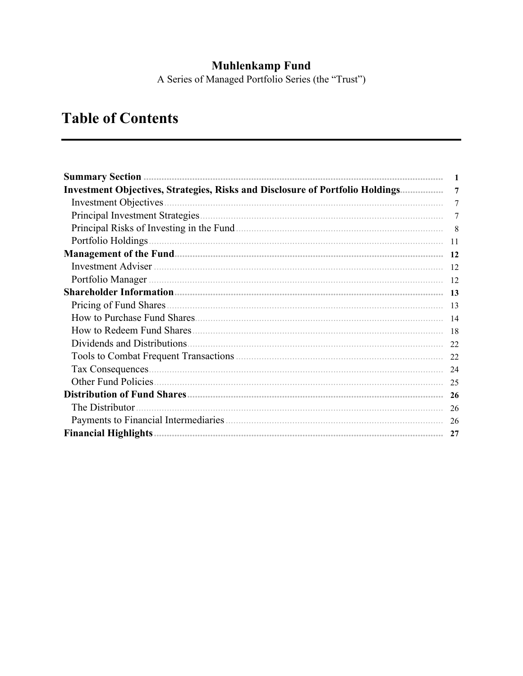Muhlenkamp Fund<br>A Series of Managed Portfolio Series (the "Trust")

# **Table of Contents**

| <b>Investment Objectives, Strategies, Risks and Disclosure of Portfolio Holdings</b>       | 7         |
|--------------------------------------------------------------------------------------------|-----------|
| <b>Investment Objectives</b>                                                               | 7         |
|                                                                                            | 7         |
| Principal Risks of Investing in the Fund <u>manual contract of the Sunday of Investing</u> | 8         |
| Portfolio Holdings                                                                         | 11        |
|                                                                                            | <b>12</b> |
| Investment Adviser                                                                         | 12        |
| Portfolio Manager                                                                          | 12        |
|                                                                                            | -13       |
| Pricing of Fund Shares.                                                                    | 13        |
|                                                                                            | 14        |
|                                                                                            | 18        |
| Dividends and Distributions.                                                               | 22        |
|                                                                                            | 22        |
| Tax Consequences.                                                                          | 24        |
|                                                                                            | 25        |
|                                                                                            |           |
| The Distributor                                                                            | 26        |
|                                                                                            | 26        |
|                                                                                            | 27        |
|                                                                                            |           |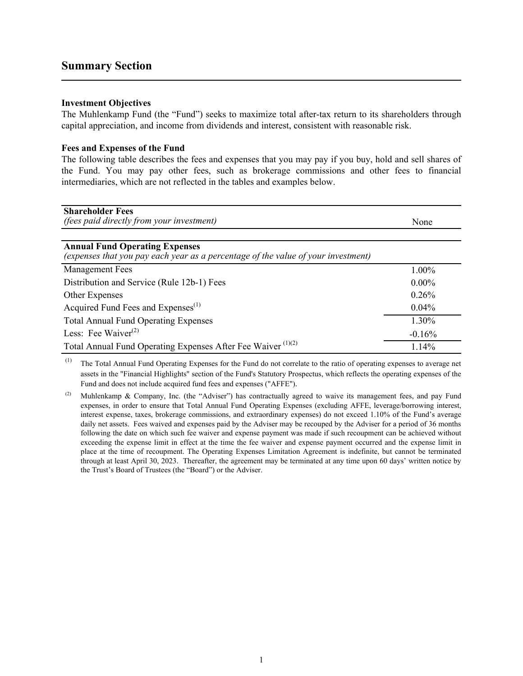### <span id="page-3-0"></span>**Summary Section**

### **Investment Objectives**

The Muhlenkamp Fund (the "Fund") seeks to maximize total after-tax return to its shareholders through capital appreciation, and income from dividends and interest, consistent with reasonable risk.

### **Fees and Expenses of the Fund**

The following table describes the fees and expenses that you may pay if you buy, hold and sell shares of the Fund. You may pay other fees, such as brokerage commissions and other fees to financial intermediaries, which are not reflected in the tables and examples below.

| <b>Shareholder Fees</b><br><i>(fees paid directly from your investment)</i>                                                | None     |
|----------------------------------------------------------------------------------------------------------------------------|----------|
| <b>Annual Fund Operating Expenses</b><br>(expenses that you pay each year as a percentage of the value of your investment) |          |
| <b>Management Fees</b>                                                                                                     | 1.00%    |
| Distribution and Service (Rule 12b-1) Fees                                                                                 | $0.00\%$ |
| Other Expenses                                                                                                             | 0.26%    |
| Acquired Fund Fees and Expenses <sup>(1)</sup>                                                                             | $0.04\%$ |
| <b>Total Annual Fund Operating Expenses</b>                                                                                | 1.30%    |
| Less: Fee Waiver $^{(2)}$                                                                                                  | $-0.16%$ |
| Total Annual Fund Operating Expenses After Fee Waiver <sup>(1)(2)</sup>                                                    | 1.14%    |

(1) The Total Annual Fund Operating Expenses for the Fund do not correlate to the ratio of operating expenses to average net assets in the "Financial Highlights" section of the Fund's Statutory Prospectus, which reflects the operating expenses of the Fund and does not include acquired fund fees and expenses ("AFFE").

<sup>(2)</sup> Muhlenkamp & Company, Inc. (the "Adviser") has contractually agreed to waive its management fees, and pay Fund expenses, in order to ensure that Total Annual Fund Operating Expenses (excluding AFFE, leverage/borrowing interest, interest expense, taxes, brokerage commissions, and extraordinary expenses) do not exceed 1.10% of the Fund's average daily net assets. Fees waived and expenses paid by the Adviser may be recouped by the Adviser for a period of 36 months following the date on which such fee waiver and expense payment was made if such recoupment can be achieved without exceeding the expense limit in effect at the time the fee waiver and expense payment occurred and the expense limit in place at the time of recoupment. The Operating Expenses Limitation Agreement is indefinite, but cannot be terminated through at least April 30, 2023. Thereafter, the agreement may be terminated at any time upon 60 days' written notice by the Trust's Board of Trustees (the "Board") or the Adviser.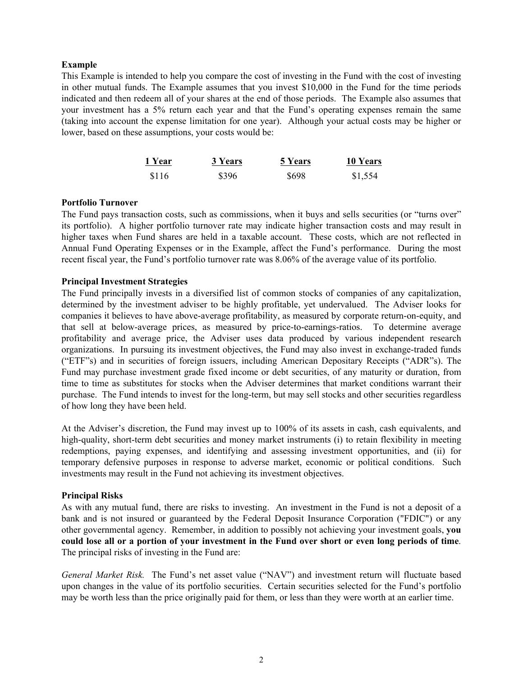### **Example**

This Example is intended to help you compare the cost of investing in the Fund with the cost of investing in other mutual funds. The Example assumes that you invest \$10,000 in the Fund for the time periods indicated and then redeem all of your shares at the end of those periods. The Example also assumes that your investment has a 5% return each year and that the Fund's operating expenses remain the same (taking into account the expense limitation for one year). Although your actual costs may be higher or lower, based on these assumptions, your costs would be:

| 1 Year | 3 Years | 5 Years | 10 Years |
|--------|---------|---------|----------|
| \$116  | \$396   | \$698   | \$1,554  |

#### **Portfolio Turnover**

The Fund pays transaction costs, such as commissions, when it buys and sells securities (or "turns over" its portfolio). A higher portfolio turnover rate may indicate higher transaction costs and may result in higher taxes when Fund shares are held in a taxable account. These costs, which are not reflected in Annual Fund Operating Expenses or in the Example, affect the Fund's performance. During the most recent fiscal year, the Fund's portfolio turnover rate was 8.06% of the average value of its portfolio.

### **Principal Investment Strategies**

The Fund principally invests in a diversified list of common stocks of companies of any capitalization, determined by the investment adviser to be highly profitable, yet undervalued. The Adviser looks for companies it believes to have above-average profitability, as measured by corporate return-on-equity, and that sell at below-average prices, as measured by price-to-earnings-ratios. To determine average profitability and average price, the Adviser uses data produced by various independent research organizations. In pursuing its investment objectives, the Fund may also invest in exchange-traded funds ("ETF"s) and in securities of foreign issuers, including American Depositary Receipts ("ADR"s). The Fund may purchase investment grade fixed income or debt securities, of any maturity or duration, from time to time as substitutes for stocks when the Adviser determines that market conditions warrant their purchase. The Fund intends to invest for the long-term, but may sell stocks and other securities regardless of how long they have been held.

At the Adviser's discretion, the Fund may invest up to 100% of its assets in cash, cash equivalents, and high-quality, short-term debt securities and money market instruments (i) to retain flexibility in meeting redemptions, paying expenses, and identifying and assessing investment opportunities, and (ii) for temporary defensive purposes in response to adverse market, economic or political conditions. Such investments may result in the Fund not achieving its investment objectives.

### **Principal Risks**

As with any mutual fund, there are risks to investing. An investment in the Fund is not a deposit of a bank and is not insured or guaranteed by the Federal Deposit Insurance Corporation ("FDIC") or any other governmental agency. Remember, in addition to possibly not achieving your investment goals, **you could lose all or a portion of your investment in the Fund over short or even long periods of time**. The principal risks of investing in the Fund are:

*General Market Risk.* The Fund's net asset value ("NAV") and investment return will fluctuate based upon changes in the value of its portfolio securities. Certain securities selected for the Fund's portfolio may be worth less than the price originally paid for them, or less than they were worth at an earlier time.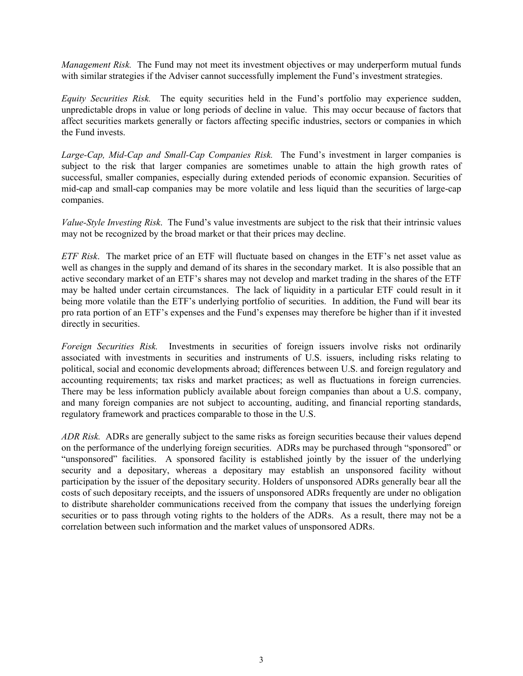*Management Risk.* The Fund may not meet its investment objectives or may underperform mutual funds with similar strategies if the Adviser cannot successfully implement the Fund's investment strategies.

*Equity Securities Risk.* The equity securities held in the Fund's portfolio may experience sudden, unpredictable drops in value or long periods of decline in value. This may occur because of factors that affect securities markets generally or factors affecting specific industries, sectors or companies in which the Fund invests.

*Large-Cap, Mid-Cap and Small-Cap Companies Risk.* The Fund's investment in larger companies is subject to the risk that larger companies are sometimes unable to attain the high growth rates of successful, smaller companies, especially during extended periods of economic expansion. Securities of mid-cap and small-cap companies may be more volatile and less liquid than the securities of large-cap companies.

*Value-Style Investing Risk*. The Fund's value investments are subject to the risk that their intrinsic values may not be recognized by the broad market or that their prices may decline.

*ETF Risk*. The market price of an ETF will fluctuate based on changes in the ETF's net asset value as well as changes in the supply and demand of its shares in the secondary market. It is also possible that an active secondary market of an ETF's shares may not develop and market trading in the shares of the ETF may be halted under certain circumstances. The lack of liquidity in a particular ETF could result in it being more volatile than the ETF's underlying portfolio of securities. In addition, the Fund will bear its pro rata portion of an ETF's expenses and the Fund's expenses may therefore be higher than if it invested directly in securities.

*Foreign Securities Risk.* Investments in securities of foreign issuers involve risks not ordinarily associated with investments in securities and instruments of U.S. issuers, including risks relating to political, social and economic developments abroad; differences between U.S. and foreign regulatory and accounting requirements; tax risks and market practices; as well as fluctuations in foreign currencies. There may be less information publicly available about foreign companies than about a U.S. company, and many foreign companies are not subject to accounting, auditing, and financial reporting standards, regulatory framework and practices comparable to those in the U.S.

*ADR Risk.* ADRs are generally subject to the same risks as foreign securities because their values depend on the performance of the underlying foreign securities. ADRs may be purchased through "sponsored" or "unsponsored" facilities. A sponsored facility is established jointly by the issuer of the underlying security and a depositary, whereas a depositary may establish an unsponsored facility without participation by the issuer of the depositary security. Holders of unsponsored ADRs generally bear all the costs of such depositary receipts, and the issuers of unsponsored ADRs frequently are under no obligation to distribute shareholder communications received from the company that issues the underlying foreign securities or to pass through voting rights to the holders of the ADRs. As a result, there may not be a correlation between such information and the market values of unsponsored ADRs.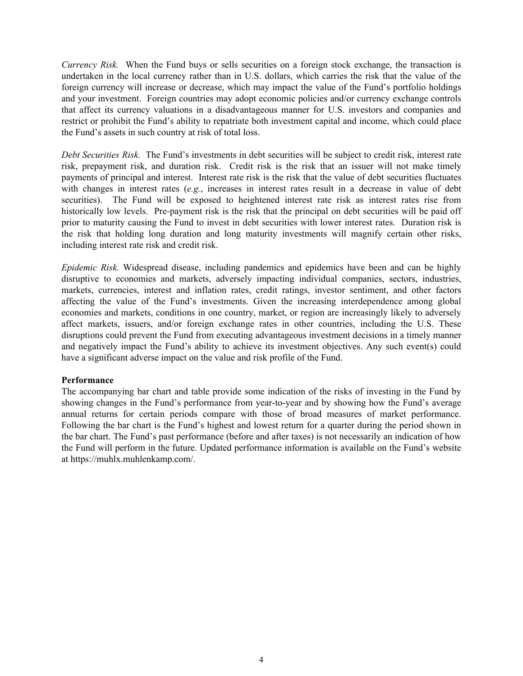*Currency Risk.* When the Fund buys or sells securities on a foreign stock exchange, the transaction is undertaken in the local currency rather than in U.S. dollars, which carries the risk that the value of the foreign currency will increase or decrease, which may impact the value of the Fund's portfolio holdings and your investment. Foreign countries may adopt economic policies and/or currency exchange controls that affect its currency valuations in a disadvantageous manner for U.S. investors and companies and restrict or prohibit the Fund's ability to repatriate both investment capital and income, which could place the Fund's assets in such country at risk of total loss.

*Debt Securities Risk.* The Fund's investments in debt securities will be subject to credit risk, interest rate risk, prepayment risk, and duration risk. Credit risk is the risk that an issuer will not make timely payments of principal and interest. Interest rate risk is the risk that the value of debt securities fluctuates with changes in interest rates (*e.g.*, increases in interest rates result in a decrease in value of debt securities). The Fund will be exposed to heightened interest rate risk as interest rates rise from historically low levels. Pre-payment risk is the risk that the principal on debt securities will be paid off prior to maturity causing the Fund to invest in debt securities with lower interest rates. Duration risk is the risk that holding long duration and long maturity investments will magnify certain other risks, including interest rate risk and credit risk.

*Epidemic Risk.* Widespread disease, including pandemics and epidemics have been and can be highly disruptive to economies and markets, adversely impacting individual companies, sectors, industries, markets, currencies, interest and inflation rates, credit ratings, investor sentiment, and other factors affecting the value of the Fund's investments. Given the increasing interdependence among global economies and markets, conditions in one country, market, or region are increasingly likely to adversely affect markets, issuers, and/or foreign exchange rates in other countries, including the U.S. These disruptions could prevent the Fund from executing advantageous investment decisions in a timely manner and negatively impact the Fund's ability to achieve its investment objectives. Any such event(s) could have a significant adverse impact on the value and risk profile of the Fund.

### **Performance**

The accompanying bar chart and table provide some indication of the risks of investing in the Fund by showing changes in the Fund's performance from year-to-year and by showing how the Fund's average annual returns for certain periods compare with those of broad measures of market performance. Following the bar chart is the Fund's highest and lowest return for a quarter during the period shown in the bar chart. The Fund's past performance (before and after taxes) is not necessarily an indication of how the Fund will perform in the future. Updated performance information is available on the Fund's website at https://muhlx.muhlenkamp.com/.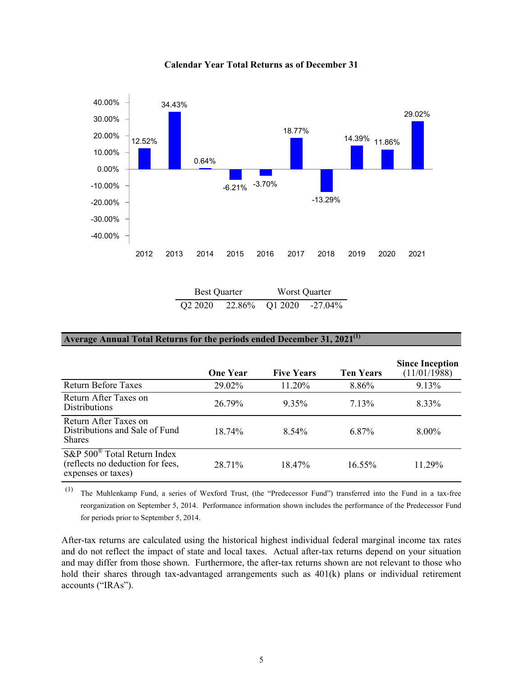

**Calendar Year Total Returns as of December 31**

| <b>Best Quarter</b>             |        | Worst Quarter |            |  |
|---------------------------------|--------|---------------|------------|--|
| Q <sub>2</sub> 20 <sub>20</sub> | 22.86% | Q1 2020       | $-27.04\%$ |  |

#### **Average Annual Total Returns for the periods ended December 31, 2021(1)**

 $\overline{a}$ 

|                                                                                                 | <b>One Year</b> | <b>Five Years</b> | <b>Ten Years</b> | <b>Since Inception</b><br>(11/01/1988) |
|-------------------------------------------------------------------------------------------------|-----------------|-------------------|------------------|----------------------------------------|
| <b>Return Before Taxes</b>                                                                      | 29.02%          | 11.20%            | 8.86%            | 9.13%                                  |
| Return After Taxes on<br><b>Distributions</b>                                                   | 26.79%          | 9.35%             | $7.13\%$         | 8.33%                                  |
| Return After Taxes on<br>Distributions and Sale of Fund<br><b>Shares</b>                        | 18.74%          | 8.54%             | 6.87%            | $8.00\%$                               |
| $S\&P 500^{\circ}$ Total Return Index<br>(reflects no deduction for fees,<br>expenses or taxes) | 28.71%          | 18.47%            | $16.55\%$        | $11.29\%$                              |

(1) The Muhlenkamp Fund, a series of Wexford Trust, (the "Predecessor Fund") transferred into the Fund in a tax-free reorganization on September 5, 2014. Performance information shown includes the performance of the Predecessor Fund for periods prior to September 5, 2014.

After-tax returns are calculated using the historical highest individual federal marginal income tax rates and do not reflect the impact of state and local taxes. Actual after-tax returns depend on your situation and may differ from those shown. Furthermore, the after-tax returns shown are not relevant to those who hold their shares through tax-advantaged arrangements such as  $401(k)$  plans or individual retirement accounts ("IRAs").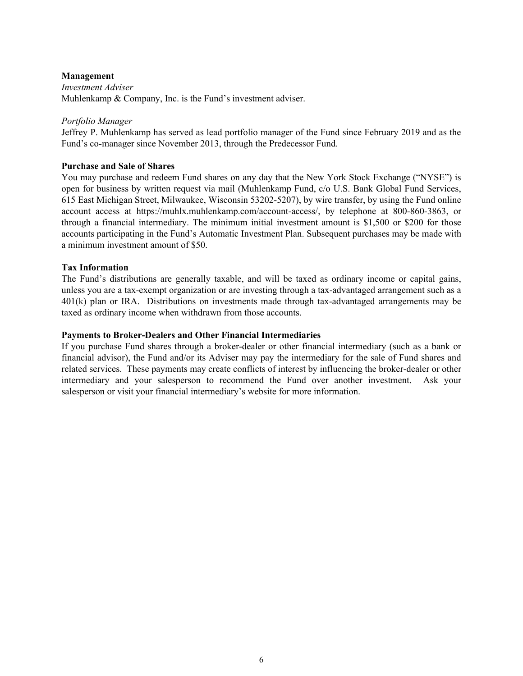### **Management**

*Investment Adviser* Muhlenkamp & Company, Inc. is the Fund's investment adviser.

### *Portfolio Manager*

Jeffrey P. Muhlenkamp has served as lead portfolio manager of the Fund since February 2019 and as the Fund's co-manager since November 2013, through the Predecessor Fund.

### **Purchase and Sale of Shares**

You may purchase and redeem Fund shares on any day that the New York Stock Exchange ("NYSE") is open for business by written request via mail (Muhlenkamp Fund, c/o U.S. Bank Global Fund Services, 615 East Michigan Street, Milwaukee, Wisconsin 53202-5207), by wire transfer, by using the Fund online account access at https://muhlx.muhlenkamp.com/account-access/, by telephone at 800-860-3863, or through a financial intermediary. The minimum initial investment amount is \$1,500 or \$200 for those accounts participating in the Fund's Automatic Investment Plan. Subsequent purchases may be made with a minimum investment amount of \$50.

### **Tax Information**

The Fund's distributions are generally taxable, and will be taxed as ordinary income or capital gains, unless you are a tax-exempt organization or are investing through a tax-advantaged arrangement such as a 401(k) plan or IRA. Distributions on investments made through tax-advantaged arrangements may be taxed as ordinary income when withdrawn from those accounts.

### **Payments to Broker-Dealers and Other Financial Intermediaries**

If you purchase Fund shares through a broker-dealer or other financial intermediary (such as a bank or financial advisor), the Fund and/or its Adviser may pay the intermediary for the sale of Fund shares and related services. These payments may create conflicts of interest by influencing the broker-dealer or other intermediary and your salesperson to recommend the Fund over another investment. Ask your salesperson or visit your financial intermediary's website for more information.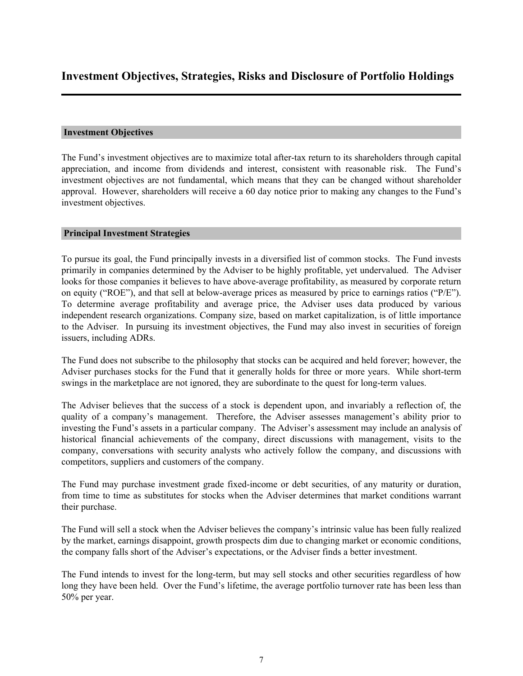### <span id="page-9-0"></span>**Investment Objectives**

The Fund's investment objectives are to maximize total after-tax return to its shareholders through capital appreciation, and income from dividends and interest, consistent with reasonable risk. The Fund's investment objectives are not fundamental, which means that they can be changed without shareholder approval. However, shareholders will receive a 60 day notice prior to making any changes to the Fund's investment objectives.

### **Principal Investment Strategies**

To pursue its goal, the Fund principally invests in a diversified list of common stocks. The Fund invests primarily in companies determined by the Adviser to be highly profitable, yet undervalued. The Adviser looks for those companies it believes to have above-average profitability, as measured by corporate return on equity ("ROE"), and that sell at below-average prices as measured by price to earnings ratios ("P/E"). To determine average profitability and average price, the Adviser uses data produced by various independent research organizations. Company size, based on market capitalization, is of little importance to the Adviser. In pursuing its investment objectives, the Fund may also invest in securities of foreign issuers, including ADRs.

The Fund does not subscribe to the philosophy that stocks can be acquired and held forever; however, the Adviser purchases stocks for the Fund that it generally holds for three or more years. While short-term swings in the marketplace are not ignored, they are subordinate to the quest for long-term values.

The Adviser believes that the success of a stock is dependent upon, and invariably a reflection of, the quality of a company's management. Therefore, the Adviser assesses management's ability prior to investing the Fund's assets in a particular company. The Adviser's assessment may include an analysis of historical financial achievements of the company, direct discussions with management, visits to the company, conversations with security analysts who actively follow the company, and discussions with competitors, suppliers and customers of the company.

The Fund may purchase investment grade fixed-income or debt securities, of any maturity or duration, from time to time as substitutes for stocks when the Adviser determines that market conditions warrant their purchase.

The Fund will sell a stock when the Adviser believes the company's intrinsic value has been fully realized by the market, earnings disappoint, growth prospects dim due to changing market or economic conditions, the company falls short of the Adviser's expectations, or the Adviser finds a better investment.

The Fund intends to invest for the long-term, but may sell stocks and other securities regardless of how long they have been held. Over the Fund's lifetime, the average portfolio turnover rate has been less than 50% per year.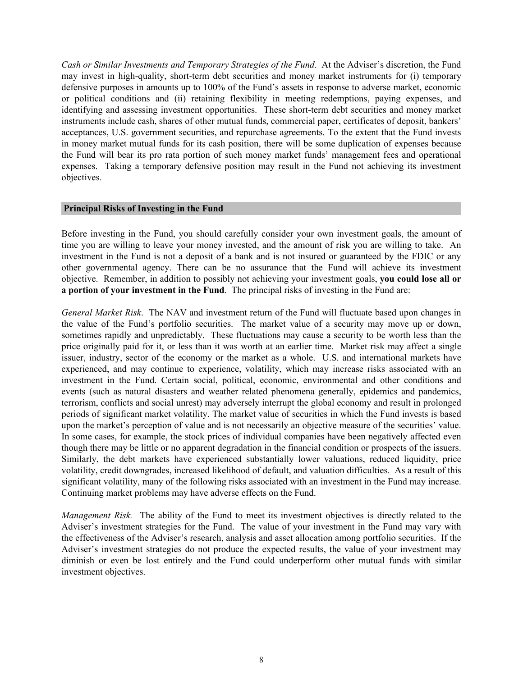<span id="page-10-0"></span>*Cash or Similar Investments and Temporary Strategies of the Fund*. At the Adviser's discretion, the Fund may invest in high-quality, short-term debt securities and money market instruments for (i) temporary defensive purposes in amounts up to 100% of the Fund's assets in response to adverse market, economic or political conditions and (ii) retaining flexibility in meeting redemptions, paying expenses, and identifying and assessing investment opportunities. These short-term debt securities and money market instruments include cash, shares of other mutual funds, commercial paper, certificates of deposit, bankers' acceptances, U.S. government securities, and repurchase agreements. To the extent that the Fund invests in money market mutual funds for its cash position, there will be some duplication of expenses because the Fund will bear its pro rata portion of such money market funds' management fees and operational expenses. Taking a temporary defensive position may result in the Fund not achieving its investment objectives.

#### **Principal Risks of Investing in the Fund**

Before investing in the Fund, you should carefully consider your own investment goals, the amount of time you are willing to leave your money invested, and the amount of risk you are willing to take. An investment in the Fund is not a deposit of a bank and is not insured or guaranteed by the FDIC or any other governmental agency. There can be no assurance that the Fund will achieve its investment objective. Remember, in addition to possibly not achieving your investment goals, **you could lose all or a portion of your investment in the Fund**. The principal risks of investing in the Fund are:

*General Market Risk*. The NAV and investment return of the Fund will fluctuate based upon changes in the value of the Fund's portfolio securities. The market value of a security may move up or down, sometimes rapidly and unpredictably. These fluctuations may cause a security to be worth less than the price originally paid for it, or less than it was worth at an earlier time. Market risk may affect a single issuer, industry, sector of the economy or the market as a whole. U.S. and international markets have experienced, and may continue to experience, volatility, which may increase risks associated with an investment in the Fund. Certain social, political, economic, environmental and other conditions and events (such as natural disasters and weather related phenomena generally, epidemics and pandemics, terrorism, conflicts and social unrest) may adversely interrupt the global economy and result in prolonged periods of significant market volatility. The market value of securities in which the Fund invests is based upon the market's perception of value and is not necessarily an objective measure of the securities' value. In some cases, for example, the stock prices of individual companies have been negatively affected even though there may be little or no apparent degradation in the financial condition or prospects of the issuers. Similarly, the debt markets have experienced substantially lower valuations, reduced liquidity, price volatility, credit downgrades, increased likelihood of default, and valuation difficulties. As a result of this significant volatility, many of the following risks associated with an investment in the Fund may increase. Continuing market problems may have adverse effects on the Fund.

*Management Risk.* The ability of the Fund to meet its investment objectives is directly related to the Adviser's investment strategies for the Fund. The value of your investment in the Fund may vary with the effectiveness of the Adviser's research, analysis and asset allocation among portfolio securities. If the Adviser's investment strategies do not produce the expected results, the value of your investment may diminish or even be lost entirely and the Fund could underperform other mutual funds with similar investment objectives.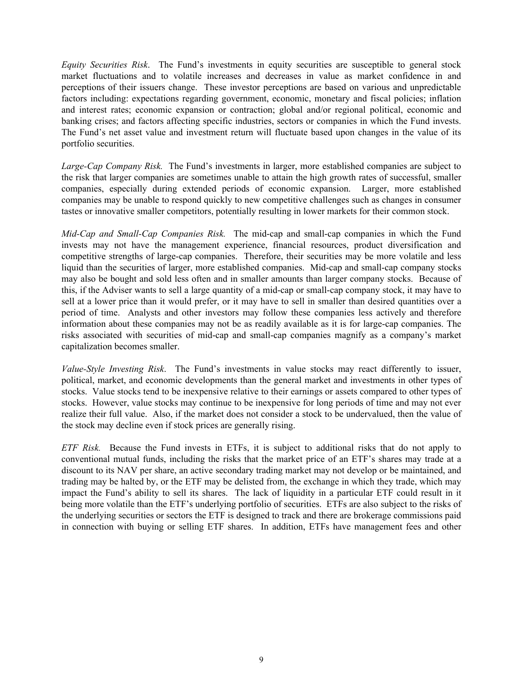*Equity Securities Risk*. The Fund's investments in equity securities are susceptible to general stock market fluctuations and to volatile increases and decreases in value as market confidence in and perceptions of their issuers change. These investor perceptions are based on various and unpredictable factors including: expectations regarding government, economic, monetary and fiscal policies; inflation and interest rates; economic expansion or contraction; global and/or regional political, economic and banking crises; and factors affecting specific industries, sectors or companies in which the Fund invests. The Fund's net asset value and investment return will fluctuate based upon changes in the value of its portfolio securities.

*Large-Cap Company Risk.* The Fund's investments in larger, more established companies are subject to the risk that larger companies are sometimes unable to attain the high growth rates of successful, smaller companies, especially during extended periods of economic expansion. Larger, more established companies may be unable to respond quickly to new competitive challenges such as changes in consumer tastes or innovative smaller competitors, potentially resulting in lower markets for their common stock.

*Mid-Cap and Small-Cap Companies Risk.* The mid-cap and small-cap companies in which the Fund invests may not have the management experience, financial resources, product diversification and competitive strengths of large-cap companies. Therefore, their securities may be more volatile and less liquid than the securities of larger, more established companies. Mid-cap and small-cap company stocks may also be bought and sold less often and in smaller amounts than larger company stocks. Because of this, if the Adviser wants to sell a large quantity of a mid-cap or small-cap company stock, it may have to sell at a lower price than it would prefer, or it may have to sell in smaller than desired quantities over a period of time. Analysts and other investors may follow these companies less actively and therefore information about these companies may not be as readily available as it is for large-cap companies. The risks associated with securities of mid-cap and small-cap companies magnify as a company's market capitalization becomes smaller.

*Value-Style Investing Risk*. The Fund's investments in value stocks may react differently to issuer, political, market, and economic developments than the general market and investments in other types of stocks. Value stocks tend to be inexpensive relative to their earnings or assets compared to other types of stocks. However, value stocks may continue to be inexpensive for long periods of time and may not ever realize their full value. Also, if the market does not consider a stock to be undervalued, then the value of the stock may decline even if stock prices are generally rising.

*ETF Risk.* Because the Fund invests in ETFs, it is subject to additional risks that do not apply to conventional mutual funds, including the risks that the market price of an ETF's shares may trade at a discount to its NAV per share, an active secondary trading market may not develop or be maintained, and trading may be halted by, or the ETF may be delisted from, the exchange in which they trade, which may impact the Fund's ability to sell its shares. The lack of liquidity in a particular ETF could result in it being more volatile than the ETF's underlying portfolio of securities. ETFs are also subject to the risks of the underlying securities or sectors the ETF is designed to track and there are brokerage commissions paid in connection with buying or selling ETF shares. In addition, ETFs have management fees and other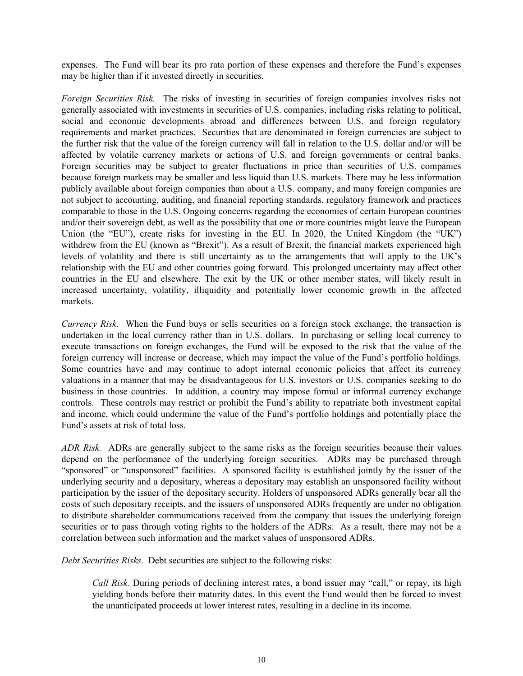expenses. The Fund will bear its pro rata portion of these expenses and therefore the Fund's expenses may be higher than if it invested directly in securities.

*Foreign Securities Risk.* The risks of investing in securities of foreign companies involves risks not generally associated with investments in securities of U.S. companies, including risks relating to political, social and economic developments abroad and differences between U.S. and foreign regulatory requirements and market practices. Securities that are denominated in foreign currencies are subject to the further risk that the value of the foreign currency will fall in relation to the U.S. dollar and/or will be affected by volatile currency markets or actions of U.S. and foreign governments or central banks. Foreign securities may be subject to greater fluctuations in price than securities of U.S. companies because foreign markets may be smaller and less liquid than U.S. markets. There may be less information publicly available about foreign companies than about a U.S. company, and many foreign companies are not subject to accounting, auditing, and financial reporting standards, regulatory framework and practices comparable to those in the U.S. Ongoing concerns regarding the economies of certain European countries and/or their sovereign debt, as well as the possibility that one or more countries might leave the European Union (the "EU"), create risks for investing in the EU. In 2020, the United Kingdom (the "UK") withdrew from the EU (known as "Brexit"). As a result of Brexit, the financial markets experienced high levels of volatility and there is still uncertainty as to the arrangements that will apply to the UK's relationship with the EU and other countries going forward. This prolonged uncertainty may affect other countries in the EU and elsewhere. The exit by the UK or other member states, will likely result in increased uncertainty, volatility, illiquidity and potentially lower economic growth in the affected markets.

*Currency Risk.* When the Fund buys or sells securities on a foreign stock exchange, the transaction is undertaken in the local currency rather than in U.S. dollars. In purchasing or selling local currency to execute transactions on foreign exchanges, the Fund will be exposed to the risk that the value of the foreign currency will increase or decrease, which may impact the value of the Fund's portfolio holdings. Some countries have and may continue to adopt internal economic policies that affect its currency valuations in a manner that may be disadvantageous for U.S. investors or U.S. companies seeking to do business in those countries. In addition, a country may impose formal or informal currency exchange controls. These controls may restrict or prohibit the Fund's ability to repatriate both investment capital and income, which could undermine the value of the Fund's portfolio holdings and potentially place the Fund's assets at risk of total loss.

*ADR Risk.* ADRs are generally subject to the same risks as the foreign securities because their values depend on the performance of the underlying foreign securities. ADRs may be purchased through "sponsored" or "unsponsored" facilities. A sponsored facility is established jointly by the issuer of the underlying security and a depositary, whereas a depositary may establish an unsponsored facility without participation by the issuer of the depositary security. Holders of unsponsored ADRs generally bear all the costs of such depositary receipts, and the issuers of unsponsored ADRs frequently are under no obligation to distribute shareholder communications received from the company that issues the underlying foreign securities or to pass through voting rights to the holders of the ADRs. As a result, there may not be a correlation between such information and the market values of unsponsored ADRs.

*Debt Securities Risks.* Debt securities are subject to the following risks:

*Call Risk.* During periods of declining interest rates, a bond issuer may "call," or repay, its high yielding bonds before their maturity dates. In this event the Fund would then be forced to invest the unanticipated proceeds at lower interest rates, resulting in a decline in its income.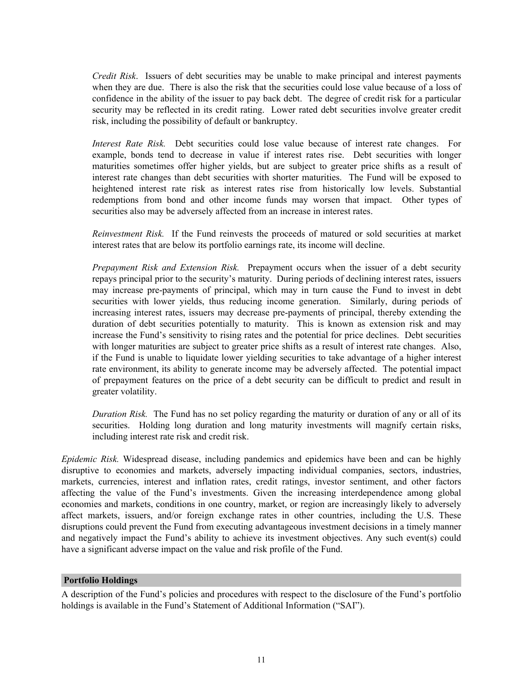<span id="page-13-0"></span>*Credit Risk*. Issuers of debt securities may be unable to make principal and interest payments when they are due. There is also the risk that the securities could lose value because of a loss of confidence in the ability of the issuer to pay back debt. The degree of credit risk for a particular security may be reflected in its credit rating. Lower rated debt securities involve greater credit risk, including the possibility of default or bankruptcy.

*Interest Rate Risk.* Debt securities could lose value because of interest rate changes. For example, bonds tend to decrease in value if interest rates rise. Debt securities with longer maturities sometimes offer higher yields, but are subject to greater price shifts as a result of interest rate changes than debt securities with shorter maturities. The Fund will be exposed to heightened interest rate risk as interest rates rise from historically low levels. Substantial redemptions from bond and other income funds may worsen that impact. Other types of securities also may be adversely affected from an increase in interest rates.

*Reinvestment Risk.* If the Fund reinvests the proceeds of matured or sold securities at market interest rates that are below its portfolio earnings rate, its income will decline.

*Prepayment Risk and Extension Risk.* Prepayment occurs when the issuer of a debt security repays principal prior to the security's maturity. During periods of declining interest rates, issuers may increase pre-payments of principal, which may in turn cause the Fund to invest in debt securities with lower yields, thus reducing income generation. Similarly, during periods of increasing interest rates, issuers may decrease pre-payments of principal, thereby extending the duration of debt securities potentially to maturity. This is known as extension risk and may increase the Fund's sensitivity to rising rates and the potential for price declines. Debt securities with longer maturities are subject to greater price shifts as a result of interest rate changes. Also, if the Fund is unable to liquidate lower yielding securities to take advantage of a higher interest rate environment, its ability to generate income may be adversely affected. The potential impact of prepayment features on the price of a debt security can be difficult to predict and result in greater volatility.

*Duration Risk.* The Fund has no set policy regarding the maturity or duration of any or all of its securities. Holding long duration and long maturity investments will magnify certain risks, including interest rate risk and credit risk.

*Epidemic Risk.* Widespread disease, including pandemics and epidemics have been and can be highly disruptive to economies and markets, adversely impacting individual companies, sectors, industries, markets, currencies, interest and inflation rates, credit ratings, investor sentiment, and other factors affecting the value of the Fund's investments. Given the increasing interdependence among global economies and markets, conditions in one country, market, or region are increasingly likely to adversely affect markets, issuers, and/or foreign exchange rates in other countries, including the U.S. These disruptions could prevent the Fund from executing advantageous investment decisions in a timely manner and negatively impact the Fund's ability to achieve its investment objectives. Any such event(s) could have a significant adverse impact on the value and risk profile of the Fund.

### **Portfolio Holdings**

A description of the Fund's policies and procedures with respect to the disclosure of the Fund's portfolio holdings is available in the Fund's Statement of Additional Information ("SAI").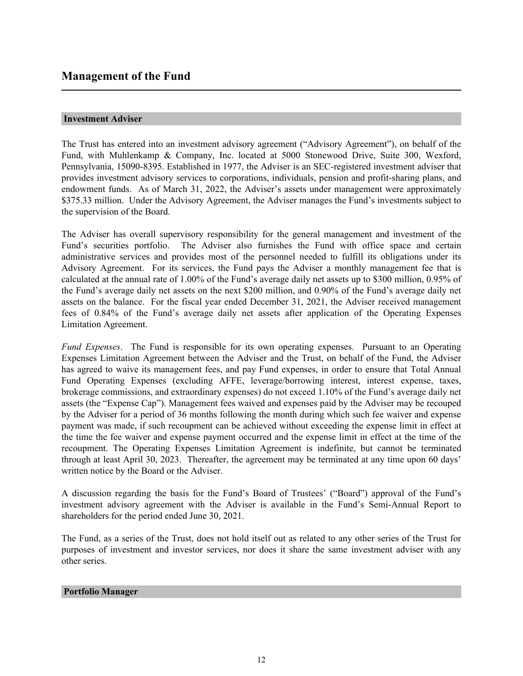### <span id="page-14-0"></span>**Investment Adviser**

The Trust has entered into an investment advisory agreement ("Advisory Agreement"), on behalf of the Fund, with Muhlenkamp & Company, Inc. located at 5000 Stonewood Drive, Suite 300, Wexford, Pennsylvania, 15090-8395. Established in 1977, the Adviser is an SEC-registered investment adviser that provides investment advisory services to corporations, individuals, pension and profit-sharing plans, and endowment funds. As of March 31, 2022, the Adviser's assets under management were approximately \$375.33 million. Under the Advisory Agreement, the Adviser manages the Fund's investments subject to the supervision of the Board.

The Adviser has overall supervisory responsibility for the general management and investment of the Fund's securities portfolio. The Adviser also furnishes the Fund with office space and certain administrative services and provides most of the personnel needed to fulfill its obligations under its Advisory Agreement. For its services, the Fund pays the Adviser a monthly management fee that is calculated at the annual rate of 1.00% of the Fund's average daily net assets up to \$300 million, 0.95% of the Fund's average daily net assets on the next \$200 million, and 0.90% of the Fund's average daily net assets on the balance. For the fiscal year ended December 31, 2021, the Adviser received management fees of 0.84% of the Fund's average daily net assets after application of the Operating Expenses Limitation Agreement.

*Fund Expenses*. The Fund is responsible for its own operating expenses. Pursuant to an Operating Expenses Limitation Agreement between the Adviser and the Trust, on behalf of the Fund, the Adviser has agreed to waive its management fees, and pay Fund expenses, in order to ensure that Total Annual Fund Operating Expenses (excluding AFFE, leverage/borrowing interest, interest expense, taxes, brokerage commissions, and extraordinary expenses) do not exceed 1.10% of the Fund's average daily net assets (the "Expense Cap"). Management fees waived and expenses paid by the Adviser may be recouped by the Adviser for a period of 36 months following the month during which such fee waiver and expense payment was made, if such recoupment can be achieved without exceeding the expense limit in effect at the time the fee waiver and expense payment occurred and the expense limit in effect at the time of the recoupment. The Operating Expenses Limitation Agreement is indefinite, but cannot be terminated through at least April 30, 2023. Thereafter, the agreement may be terminated at any time upon 60 days' written notice by the Board or the Adviser.

A discussion regarding the basis for the Fund's Board of Trustees' ("Board") approval of the Fund's investment advisory agreement with the Adviser is available in the Fund's Semi-Annual Report to shareholders for the period ended June 30, 2021.

The Fund, as a series of the Trust, does not hold itself out as related to any other series of the Trust for purposes of investment and investor services, nor does it share the same investment adviser with any other series.

### **Portfolio Manager**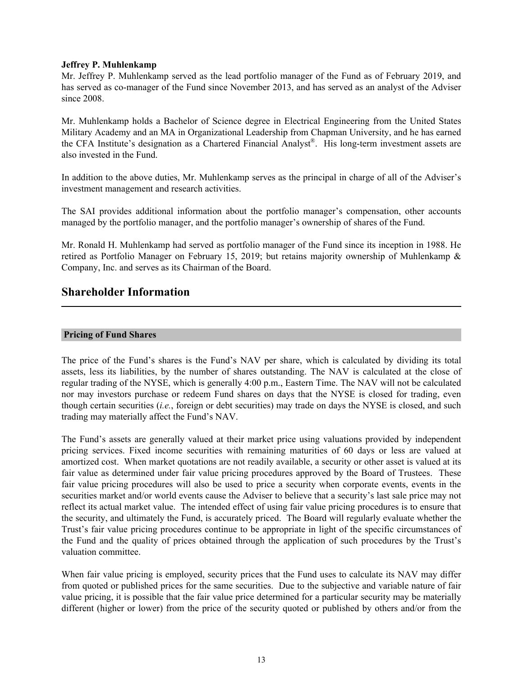### <span id="page-15-0"></span>**Jeffrey P. Muhlenkamp**

Mr. Jeffrey P. Muhlenkamp served as the lead portfolio manager of the Fund as of February 2019, and has served as co-manager of the Fund since November 2013, and has served as an analyst of the Adviser since 2008.

Mr. Muhlenkamp holds a Bachelor of Science degree in Electrical Engineering from the United States Military Academy and an MA in Organizational Leadership from Chapman University, and he has earned the CFA Institute's designation as a Chartered Financial Analyst® . His long-term investment assets are also invested in the Fund.

In addition to the above duties, Mr. Muhlenkamp serves as the principal in charge of all of the Adviser's investment management and research activities.

The SAI provides additional information about the portfolio manager's compensation, other accounts managed by the portfolio manager, and the portfolio manager's ownership of shares of the Fund.

Mr. Ronald H. Muhlenkamp had served as portfolio manager of the Fund since its inception in 1988. He retired as Portfolio Manager on February 15, 2019; but retains majority ownership of Muhlenkamp & Company, Inc. and serves as its Chairman of the Board.

### **Shareholder Information**

### **Pricing of Fund Shares**

The price of the Fund's shares is the Fund's NAV per share, which is calculated by dividing its total assets, less its liabilities, by the number of shares outstanding. The NAV is calculated at the close of regular trading of the NYSE, which is generally 4:00 p.m., Eastern Time. The NAV will not be calculated nor may investors purchase or redeem Fund shares on days that the NYSE is closed for trading, even though certain securities (*i.e.*, foreign or debt securities) may trade on days the NYSE is closed, and such trading may materially affect the Fund's NAV.

The Fund's assets are generally valued at their market price using valuations provided by independent pricing services. Fixed income securities with remaining maturities of 60 days or less are valued at amortized cost. When market quotations are not readily available, a security or other asset is valued at its fair value as determined under fair value pricing procedures approved by the Board of Trustees. These fair value pricing procedures will also be used to price a security when corporate events, events in the securities market and/or world events cause the Adviser to believe that a security's last sale price may not reflect its actual market value. The intended effect of using fair value pricing procedures is to ensure that the security, and ultimately the Fund, is accurately priced. The Board will regularly evaluate whether the Trust's fair value pricing procedures continue to be appropriate in light of the specific circumstances of the Fund and the quality of prices obtained through the application of such procedures by the Trust's valuation committee.

When fair value pricing is employed, security prices that the Fund uses to calculate its NAV may differ from quoted or published prices for the same securities. Due to the subjective and variable nature of fair value pricing, it is possible that the fair value price determined for a particular security may be materially different (higher or lower) from the price of the security quoted or published by others and/or from the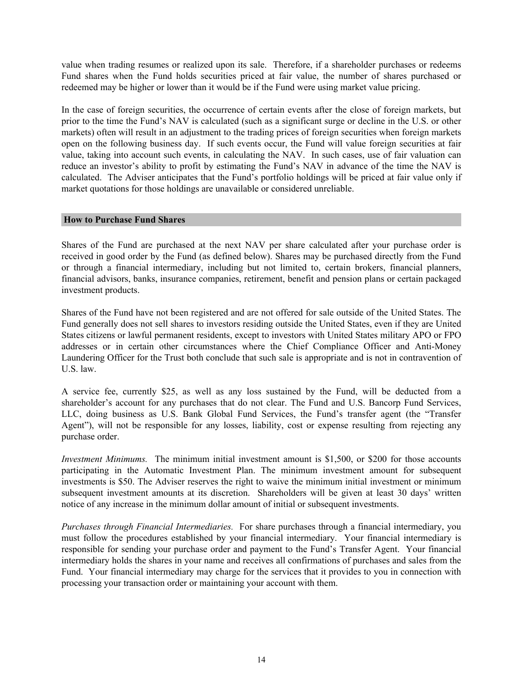<span id="page-16-0"></span>value when trading resumes or realized upon its sale. Therefore, if a shareholder purchases or redeems Fund shares when the Fund holds securities priced at fair value, the number of shares purchased or redeemed may be higher or lower than it would be if the Fund were using market value pricing.

In the case of foreign securities, the occurrence of certain events after the close of foreign markets, but prior to the time the Fund's NAV is calculated (such as a significant surge or decline in the U.S. or other markets) often will result in an adjustment to the trading prices of foreign securities when foreign markets open on the following business day. If such events occur, the Fund will value foreign securities at fair value, taking into account such events, in calculating the NAV. In such cases, use of fair valuation can reduce an investor's ability to profit by estimating the Fund's NAV in advance of the time the NAV is calculated. The Adviser anticipates that the Fund's portfolio holdings will be priced at fair value only if market quotations for those holdings are unavailable or considered unreliable.

### **How to Purchase Fund Shares**

Shares of the Fund are purchased at the next NAV per share calculated after your purchase order is received in good order by the Fund (as defined below). Shares may be purchased directly from the Fund or through a financial intermediary, including but not limited to, certain brokers, financial planners, financial advisors, banks, insurance companies, retirement, benefit and pension plans or certain packaged investment products.

Shares of the Fund have not been registered and are not offered for sale outside of the United States. The Fund generally does not sell shares to investors residing outside the United States, even if they are United States citizens or lawful permanent residents, except to investors with United States military APO or FPO addresses or in certain other circumstances where the Chief Compliance Officer and Anti-Money Laundering Officer for the Trust both conclude that such sale is appropriate and is not in contravention of U.S. law.

A service fee, currently \$25, as well as any loss sustained by the Fund, will be deducted from a shareholder's account for any purchases that do not clear. The Fund and U.S. Bancorp Fund Services, LLC, doing business as U.S. Bank Global Fund Services, the Fund's transfer agent (the "Transfer Agent"), will not be responsible for any losses, liability, cost or expense resulting from rejecting any purchase order.

*Investment Minimums.* The minimum initial investment amount is \$1,500, or \$200 for those accounts participating in the Automatic Investment Plan. The minimum investment amount for subsequent investments is \$50. The Adviser reserves the right to waive the minimum initial investment or minimum subsequent investment amounts at its discretion. Shareholders will be given at least 30 days' written notice of any increase in the minimum dollar amount of initial or subsequent investments.

*Purchases through Financial Intermediaries.* For share purchases through a financial intermediary, you must follow the procedures established by your financial intermediary. Your financial intermediary is responsible for sending your purchase order and payment to the Fund's Transfer Agent. Your financial intermediary holds the shares in your name and receives all confirmations of purchases and sales from the Fund. Your financial intermediary may charge for the services that it provides to you in connection with processing your transaction order or maintaining your account with them.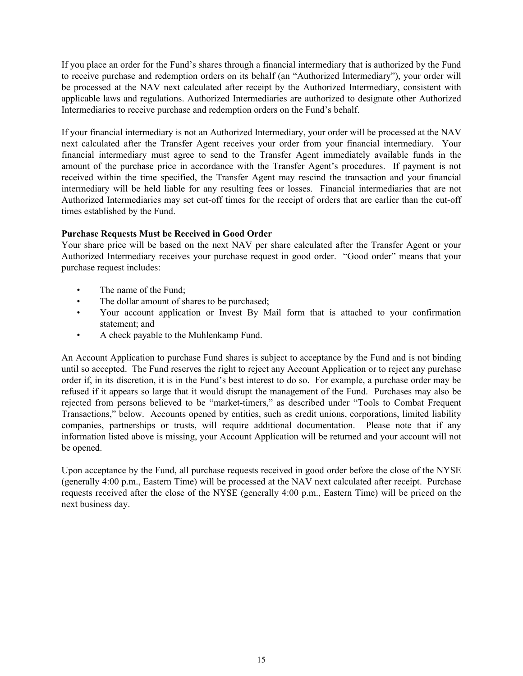If you place an order for the Fund's shares through a financial intermediary that is authorized by the Fund to receive purchase and redemption orders on its behalf (an "Authorized Intermediary"), your order will be processed at the NAV next calculated after receipt by the Authorized Intermediary, consistent with applicable laws and regulations. Authorized Intermediaries are authorized to designate other Authorized Intermediaries to receive purchase and redemption orders on the Fund's behalf.

If your financial intermediary is not an Authorized Intermediary, your order will be processed at the NAV next calculated after the Transfer Agent receives your order from your financial intermediary. Your financial intermediary must agree to send to the Transfer Agent immediately available funds in the amount of the purchase price in accordance with the Transfer Agent's procedures. If payment is not received within the time specified, the Transfer Agent may rescind the transaction and your financial intermediary will be held liable for any resulting fees or losses. Financial intermediaries that are not Authorized Intermediaries may set cut-off times for the receipt of orders that are earlier than the cut-off times established by the Fund.

### **Purchase Requests Must be Received in Good Order**

Your share price will be based on the next NAV per share calculated after the Transfer Agent or your Authorized Intermediary receives your purchase request in good order. "Good order" means that your purchase request includes:

- The name of the Fund;
- The dollar amount of shares to be purchased:
- Your account application or Invest By Mail form that is attached to your confirmation statement; and
- A check payable to the Muhlenkamp Fund.

An Account Application to purchase Fund shares is subject to acceptance by the Fund and is not binding until so accepted. The Fund reserves the right to reject any Account Application or to reject any purchase order if, in its discretion, it is in the Fund's best interest to do so. For example, a purchase order may be refused if it appears so large that it would disrupt the management of the Fund. Purchases may also be rejected from persons believed to be "market-timers," as described under "Tools to Combat Frequent Transactions," below. Accounts opened by entities, such as credit unions, corporations, limited liability companies, partnerships or trusts, will require additional documentation. Please note that if any information listed above is missing, your Account Application will be returned and your account will not be opened.

Upon acceptance by the Fund, all purchase requests received in good order before the close of the NYSE (generally 4:00 p.m., Eastern Time) will be processed at the NAV next calculated after receipt. Purchase requests received after the close of the NYSE (generally 4:00 p.m., Eastern Time) will be priced on the next business day.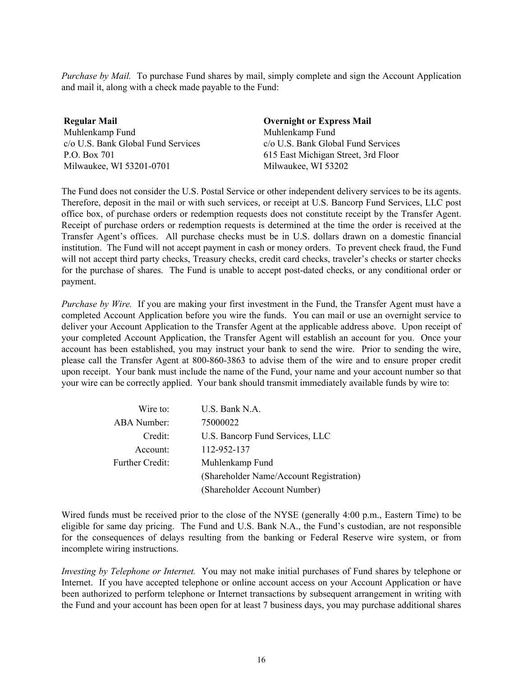*Purchase by Mail.* To purchase Fund shares by mail, simply complete and sign the Account Application and mail it, along with a check made payable to the Fund:

**Regular Mail** Muhlenkamp Fund c/o U.S. Bank Global Fund Services P.O. Box 701 Milwaukee, WI 53201-0701

**Overnight or Express Mail** Muhlenkamp Fund c/o U.S. Bank Global Fund Services 615 East Michigan Street, 3rd Floor Milwaukee, WI 53202

The Fund does not consider the U.S. Postal Service or other independent delivery services to be its agents. Therefore, deposit in the mail or with such services, or receipt at U.S. Bancorp Fund Services, LLC post office box, of purchase orders or redemption requests does not constitute receipt by the Transfer Agent. Receipt of purchase orders or redemption requests is determined at the time the order is received at the Transfer Agent's offices. All purchase checks must be in U.S. dollars drawn on a domestic financial institution. The Fund will not accept payment in cash or money orders. To prevent check fraud, the Fund will not accept third party checks, Treasury checks, credit card checks, traveler's checks or starter checks for the purchase of shares. The Fund is unable to accept post-dated checks, or any conditional order or payment.

*Purchase by Wire.* If you are making your first investment in the Fund, the Transfer Agent must have a completed Account Application before you wire the funds. You can mail or use an overnight service to deliver your Account Application to the Transfer Agent at the applicable address above. Upon receipt of your completed Account Application, the Transfer Agent will establish an account for you. Once your account has been established, you may instruct your bank to send the wire. Prior to sending the wire, please call the Transfer Agent at 800-860-3863 to advise them of the wire and to ensure proper credit upon receipt. Your bank must include the name of the Fund, your name and your account number so that your wire can be correctly applied. Your bank should transmit immediately available funds by wire to:

| Wire to:               | U.S. Bank N.A.                          |
|------------------------|-----------------------------------------|
| <b>ABA</b> Number:     | 75000022                                |
| Credit:                | U.S. Bancorp Fund Services, LLC         |
| Account:               | 112-952-137                             |
| <b>Further Credit:</b> | Muhlenkamp Fund                         |
|                        | (Shareholder Name/Account Registration) |
|                        | (Shareholder Account Number)            |

Wired funds must be received prior to the close of the NYSE (generally 4:00 p.m., Eastern Time) to be eligible for same day pricing. The Fund and U.S. Bank N.A., the Fund's custodian, are not responsible for the consequences of delays resulting from the banking or Federal Reserve wire system, or from incomplete wiring instructions.

*Investing by Telephone or Internet.* You may not make initial purchases of Fund shares by telephone or Internet.If you have accepted telephone or online account access on your Account Application or have been authorized to perform telephone or Internet transactions by subsequent arrangement in writing with the Fund and your account has been open for at least 7 business days, you may purchase additional shares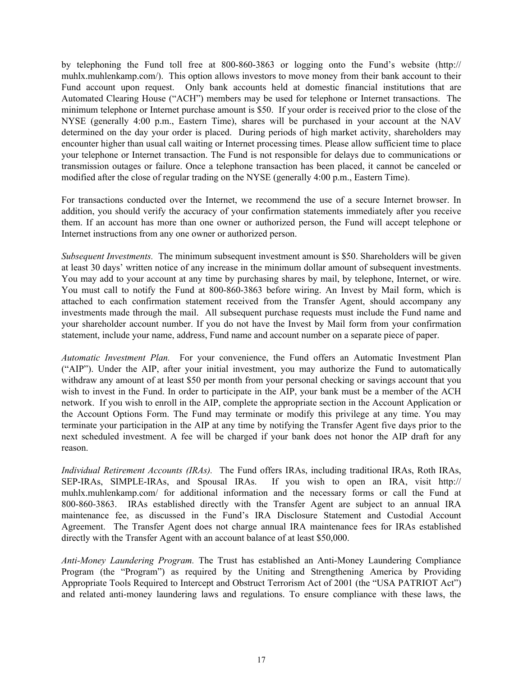by telephoning the Fund toll free at 800-860-3863 or logging onto the Fund's website (http:// muhlx.muhlenkamp.com/). This option allows investors to move money from their bank account to their Fund account upon request. Only bank accounts held at domestic financial institutions that are Automated Clearing House ("ACH") members may be used for telephone or Internet transactions. The minimum telephone or Internet purchase amount is \$50. If your order is received prior to the close of the NYSE (generally 4:00 p.m., Eastern Time), shares will be purchased in your account at the NAV determined on the day your order is placed. During periods of high market activity, shareholders may encounter higher than usual call waiting or Internet processing times. Please allow sufficient time to place your telephone or Internet transaction. The Fund is not responsible for delays due to communications or transmission outages or failure. Once a telephone transaction has been placed, it cannot be canceled or modified after the close of regular trading on the NYSE (generally 4:00 p.m., Eastern Time).

For transactions conducted over the Internet, we recommend the use of a secure Internet browser. In addition, you should verify the accuracy of your confirmation statements immediately after you receive them. If an account has more than one owner or authorized person, the Fund will accept telephone or Internet instructions from any one owner or authorized person.

*Subsequent Investments.* The minimum subsequent investment amount is \$50. Shareholders will be given at least 30 days' written notice of any increase in the minimum dollar amount of subsequent investments. You may add to your account at any time by purchasing shares by mail, by telephone, Internet, or wire. You must call to notify the Fund at 800-860-3863 before wiring. An Invest by Mail form, which is attached to each confirmation statement received from the Transfer Agent, should accompany any investments made through the mail. All subsequent purchase requests must include the Fund name and your shareholder account number. If you do not have the Invest by Mail form from your confirmation statement, include your name, address, Fund name and account number on a separate piece of paper.

*Automatic Investment Plan.* For your convenience, the Fund offers an Automatic Investment Plan ("AIP"). Under the AIP, after your initial investment, you may authorize the Fund to automatically withdraw any amount of at least \$50 per month from your personal checking or savings account that you wish to invest in the Fund. In order to participate in the AIP, your bank must be a member of the ACH network. If you wish to enroll in the AIP, complete the appropriate section in the Account Application or the Account Options Form. The Fund may terminate or modify this privilege at any time. You may terminate your participation in the AIP at any time by notifying the Transfer Agent five days prior to the next scheduled investment. A fee will be charged if your bank does not honor the AIP draft for any reason.

*Individual Retirement Accounts (IRAs).* The Fund offers IRAs, including traditional IRAs, Roth IRAs, SEP-IRAs, SIMPLE-IRAs, and Spousal IRAs. If you wish to open an IRA, visit http:// muhlx.muhlenkamp.com/ for additional information and the necessary forms or call the Fund at 800-860-3863. IRAs established directly with the Transfer Agent are subject to an annual IRA maintenance fee, as discussed in the Fund's IRA Disclosure Statement and Custodial Account Agreement. The Transfer Agent does not charge annual IRA maintenance fees for IRAs established directly with the Transfer Agent with an account balance of at least \$50,000.

*Anti-Money Laundering Program.* The Trust has established an Anti-Money Laundering Compliance Program (the "Program") as required by the Uniting and Strengthening America by Providing Appropriate Tools Required to Intercept and Obstruct Terrorism Act of 2001 (the "USA PATRIOT Act") and related anti-money laundering laws and regulations. To ensure compliance with these laws, the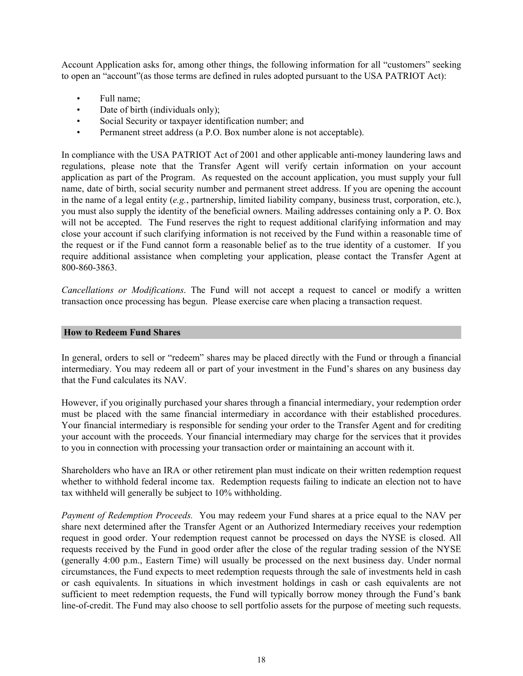<span id="page-20-0"></span>Account Application asks for, among other things, the following information for all "customers" seeking to open an "account"(as those terms are defined in rules adopted pursuant to the USA PATRIOT Act):

- Full name;
- Date of birth (individuals only);
- Social Security or taxpayer identification number; and
- Permanent street address (a P.O. Box number alone is not acceptable).

In compliance with the USA PATRIOT Act of 2001 and other applicable anti-money laundering laws and regulations, please note that the Transfer Agent will verify certain information on your account application as part of the Program. As requested on the account application, you must supply your full name, date of birth, social security number and permanent street address. If you are opening the account in the name of a legal entity (*e.g.*, partnership, limited liability company, business trust, corporation, etc.), you must also supply the identity of the beneficial owners. Mailing addresses containing only a P. O. Box will not be accepted. The Fund reserves the right to request additional clarifying information and may close your account if such clarifying information is not received by the Fund within a reasonable time of the request or if the Fund cannot form a reasonable belief as to the true identity of a customer. If you require additional assistance when completing your application, please contact the Transfer Agent at 800-860-3863.

*Cancellations or Modifications*. The Fund will not accept a request to cancel or modify a written transaction once processing has begun. Please exercise care when placing a transaction request.

### **How to Redeem Fund Shares**

In general, orders to sell or "redeem" shares may be placed directly with the Fund or through a financial intermediary. You may redeem all or part of your investment in the Fund's shares on any business day that the Fund calculates its NAV.

However, if you originally purchased your shares through a financial intermediary, your redemption order must be placed with the same financial intermediary in accordance with their established procedures. Your financial intermediary is responsible for sending your order to the Transfer Agent and for crediting your account with the proceeds. Your financial intermediary may charge for the services that it provides to you in connection with processing your transaction order or maintaining an account with it.

Shareholders who have an IRA or other retirement plan must indicate on their written redemption request whether to withhold federal income tax. Redemption requests failing to indicate an election not to have tax withheld will generally be subject to 10% withholding.

*Payment of Redemption Proceeds.* You may redeem your Fund shares at a price equal to the NAV per share next determined after the Transfer Agent or an Authorized Intermediary receives your redemption request in good order. Your redemption request cannot be processed on days the NYSE is closed. All requests received by the Fund in good order after the close of the regular trading session of the NYSE (generally 4:00 p.m., Eastern Time) will usually be processed on the next business day. Under normal circumstances, the Fund expects to meet redemption requests through the sale of investments held in cash or cash equivalents. In situations in which investment holdings in cash or cash equivalents are not sufficient to meet redemption requests, the Fund will typically borrow money through the Fund's bank line-of-credit. The Fund may also choose to sell portfolio assets for the purpose of meeting such requests.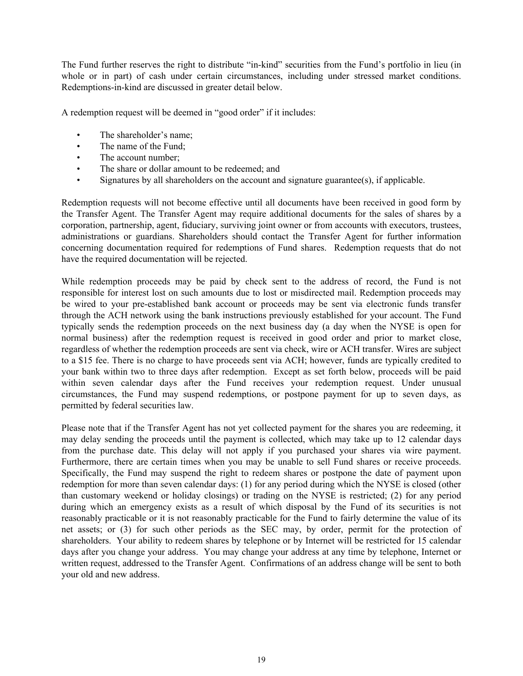The Fund further reserves the right to distribute "in-kind" securities from the Fund's portfolio in lieu (in whole or in part) of cash under certain circumstances, including under stressed market conditions. Redemptions-in-kind are discussed in greater detail below.

A redemption request will be deemed in "good order" if it includes:

- The shareholder's name;
- The name of the Fund;
- The account number:
- The share or dollar amount to be redeemed; and
- Signatures by all shareholders on the account and signature guarantee(s), if applicable.

Redemption requests will not become effective until all documents have been received in good form by the Transfer Agent. The Transfer Agent may require additional documents for the sales of shares by a corporation, partnership, agent, fiduciary, surviving joint owner or from accounts with executors, trustees, administrations or guardians. Shareholders should contact the Transfer Agent for further information concerning documentation required for redemptions of Fund shares. Redemption requests that do not have the required documentation will be rejected.

While redemption proceeds may be paid by check sent to the address of record, the Fund is not responsible for interest lost on such amounts due to lost or misdirected mail. Redemption proceeds may be wired to your pre-established bank account or proceeds may be sent via electronic funds transfer through the ACH network using the bank instructions previously established for your account. The Fund typically sends the redemption proceeds on the next business day (a day when the NYSE is open for normal business) after the redemption request is received in good order and prior to market close, regardless of whether the redemption proceeds are sent via check, wire or ACH transfer. Wires are subject to a \$15 fee. There is no charge to have proceeds sent via ACH; however, funds are typically credited to your bank within two to three days after redemption. Except as set forth below, proceeds will be paid within seven calendar days after the Fund receives your redemption request. Under unusual circumstances, the Fund may suspend redemptions, or postpone payment for up to seven days, as permitted by federal securities law.

Please note that if the Transfer Agent has not yet collected payment for the shares you are redeeming, it may delay sending the proceeds until the payment is collected, which may take up to 12 calendar days from the purchase date. This delay will not apply if you purchased your shares via wire payment. Furthermore, there are certain times when you may be unable to sell Fund shares or receive proceeds. Specifically, the Fund may suspend the right to redeem shares or postpone the date of payment upon redemption for more than seven calendar days: (1) for any period during which the NYSE is closed (other than customary weekend or holiday closings) or trading on the NYSE is restricted; (2) for any period during which an emergency exists as a result of which disposal by the Fund of its securities is not reasonably practicable or it is not reasonably practicable for the Fund to fairly determine the value of its net assets; or (3) for such other periods as the SEC may, by order, permit for the protection of shareholders. Your ability to redeem shares by telephone or by Internet will be restricted for 15 calendar days after you change your address. You may change your address at any time by telephone, Internet or written request, addressed to the Transfer Agent. Confirmations of an address change will be sent to both your old and new address.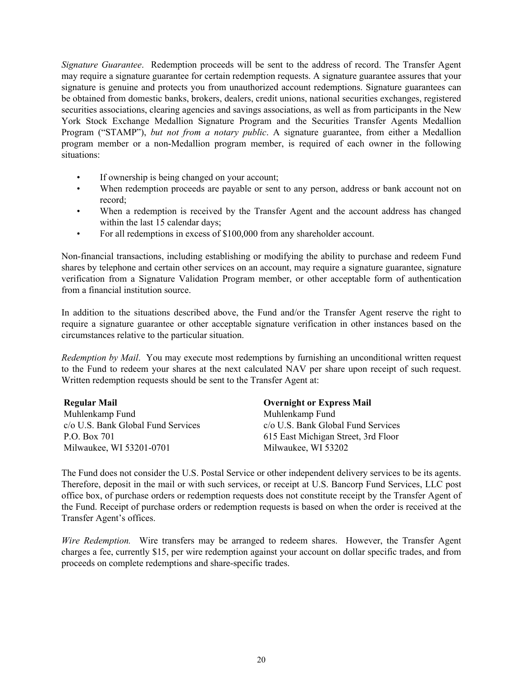*Signature Guarantee*. Redemption proceeds will be sent to the address of record. The Transfer Agent may require a signature guarantee for certain redemption requests. A signature guarantee assures that your signature is genuine and protects you from unauthorized account redemptions. Signature guarantees can be obtained from domestic banks, brokers, dealers, credit unions, national securities exchanges, registered securities associations, clearing agencies and savings associations, as well as from participants in the New York Stock Exchange Medallion Signature Program and the Securities Transfer Agents Medallion Program ("STAMP"), *but not from a notary public*. A signature guarantee, from either a Medallion program member or a non-Medallion program member, is required of each owner in the following situations:

- If ownership is being changed on your account;
- When redemption proceeds are payable or sent to any person, address or bank account not on record;
- When a redemption is received by the Transfer Agent and the account address has changed within the last 15 calendar days;
- For all redemptions in excess of \$100,000 from any shareholder account.

Non-financial transactions, including establishing or modifying the ability to purchase and redeem Fund shares by telephone and certain other services on an account, may require a signature guarantee, signature verification from a Signature Validation Program member, or other acceptable form of authentication from a financial institution source.

In addition to the situations described above, the Fund and/or the Transfer Agent reserve the right to require a signature guarantee or other acceptable signature verification in other instances based on the circumstances relative to the particular situation.

*Redemption by Mail*. You may execute most redemptions by furnishing an unconditional written request to the Fund to redeem your shares at the next calculated NAV per share upon receipt of such request. Written redemption requests should be sent to the Transfer Agent at:

| <b>Regular Mail</b>                | <b>Overnight or Express Mail</b>    |
|------------------------------------|-------------------------------------|
| Muhlenkamp Fund                    | Muhlenkamp Fund                     |
| c/o U.S. Bank Global Fund Services | c/o U.S. Bank Global Fund Services  |
| P.O. Box 701                       | 615 East Michigan Street, 3rd Floor |
| Milwaukee, WI 53201-0701           | Milwaukee, WI 53202                 |

The Fund does not consider the U.S. Postal Service or other independent delivery services to be its agents. Therefore, deposit in the mail or with such services, or receipt at U.S. Bancorp Fund Services, LLC post office box, of purchase orders or redemption requests does not constitute receipt by the Transfer Agent of the Fund. Receipt of purchase orders or redemption requests is based on when the order is received at the Transfer Agent's offices.

*Wire Redemption.* Wire transfers may be arranged to redeem shares. However, the Transfer Agent charges a fee, currently \$15, per wire redemption against your account on dollar specific trades, and from proceeds on complete redemptions and share-specific trades.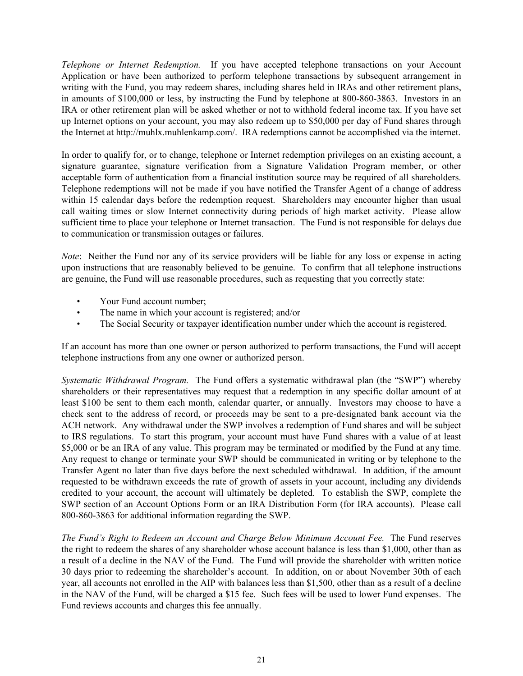*Telephone or Internet Redemption.* If you have accepted telephone transactions on your Account Application or have been authorized to perform telephone transactions by subsequent arrangement in writing with the Fund, you may redeem shares, including shares held in IRAs and other retirement plans, in amounts of \$100,000 or less, by instructing the Fund by telephone at 800-860-3863. Investors in an IRA or other retirement plan will be asked whether or not to withhold federal income tax. If you have set up Internet options on your account, you may also redeem up to \$50,000 per day of Fund shares through the Internet at http://muhlx.muhlenkamp.com/. IRA redemptions cannot be accomplished via the internet.

In order to qualify for, or to change, telephone or Internet redemption privileges on an existing account, a signature guarantee, signature verification from a Signature Validation Program member, or other acceptable form of authentication from a financial institution source may be required of all shareholders. Telephone redemptions will not be made if you have notified the Transfer Agent of a change of address within 15 calendar days before the redemption request. Shareholders may encounter higher than usual call waiting times or slow Internet connectivity during periods of high market activity. Please allow sufficient time to place your telephone or Internet transaction. The Fund is not responsible for delays due to communication or transmission outages or failures.

*Note*: Neither the Fund nor any of its service providers will be liable for any loss or expense in acting upon instructions that are reasonably believed to be genuine. To confirm that all telephone instructions are genuine, the Fund will use reasonable procedures, such as requesting that you correctly state:

- Your Fund account number;
- The name in which your account is registered; and/or
- The Social Security or taxpayer identification number under which the account is registered.

If an account has more than one owner or person authorized to perform transactions, the Fund will accept telephone instructions from any one owner or authorized person.

*Systematic Withdrawal Program.* The Fund offers a systematic withdrawal plan (the "SWP") whereby shareholders or their representatives may request that a redemption in any specific dollar amount of at least \$100 be sent to them each month, calendar quarter, or annually. Investors may choose to have a check sent to the address of record, or proceeds may be sent to a pre-designated bank account via the ACH network. Any withdrawal under the SWP involves a redemption of Fund shares and will be subject to IRS regulations. To start this program, your account must have Fund shares with a value of at least \$5,000 or be an IRA of any value. This program may be terminated or modified by the Fund at any time. Any request to change or terminate your SWP should be communicated in writing or by telephone to the Transfer Agent no later than five days before the next scheduled withdrawal. In addition, if the amount requested to be withdrawn exceeds the rate of growth of assets in your account, including any dividends credited to your account, the account will ultimately be depleted. To establish the SWP, complete the SWP section of an Account Options Form or an IRA Distribution Form (for IRA accounts). Please call 800-860-3863 for additional information regarding the SWP.

*The Fund's Right to Redeem an Account and Charge Below Minimum Account Fee.* The Fund reserves the right to redeem the shares of any shareholder whose account balance is less than \$1,000, other than as a result of a decline in the NAV of the Fund. The Fund will provide the shareholder with written notice 30 days prior to redeeming the shareholder's account. In addition, on or about November 30th of each year, all accounts not enrolled in the AIP with balances less than \$1,500, other than as a result of a decline in the NAV of the Fund, will be charged a \$15 fee. Such fees will be used to lower Fund expenses. The Fund reviews accounts and charges this fee annually.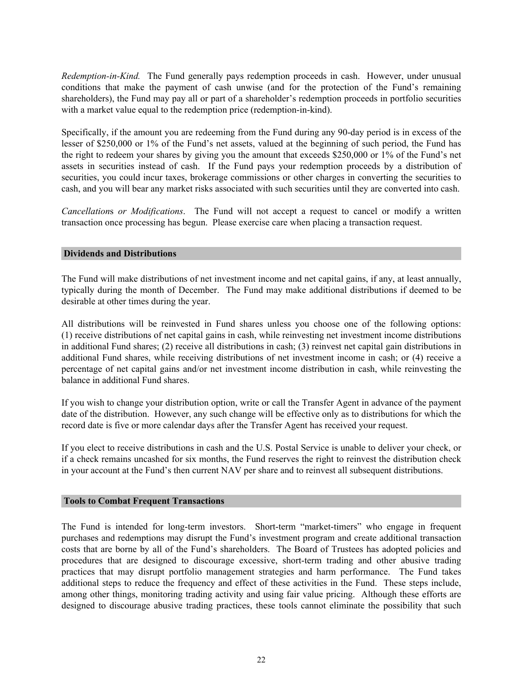<span id="page-24-0"></span>*Redemption-in-Kind.* The Fund generally pays redemption proceeds in cash. However, under unusual conditions that make the payment of cash unwise (and for the protection of the Fund's remaining shareholders), the Fund may pay all or part of a shareholder's redemption proceeds in portfolio securities with a market value equal to the redemption price (redemption-in-kind).

Specifically, if the amount you are redeeming from the Fund during any 90-day period is in excess of the lesser of \$250,000 or 1% of the Fund's net assets, valued at the beginning of such period, the Fund has the right to redeem your shares by giving you the amount that exceeds \$250,000 or 1% of the Fund's net assets in securities instead of cash. If the Fund pays your redemption proceeds by a distribution of securities, you could incur taxes, brokerage commissions or other charges in converting the securities to cash, and you will bear any market risks associated with such securities until they are converted into cash.

*Cancellation*s *or Modifications*. The Fund will not accept a request to cancel or modify a written transaction once processing has begun. Please exercise care when placing a transaction request.

### **Dividends and Distributions**

The Fund will make distributions of net investment income and net capital gains, if any, at least annually, typically during the month of December. The Fund may make additional distributions if deemed to be desirable at other times during the year.

All distributions will be reinvested in Fund shares unless you choose one of the following options: (1) receive distributions of net capital gains in cash, while reinvesting net investment income distributions in additional Fund shares; (2) receive all distributions in cash; (3) reinvest net capital gain distributions in additional Fund shares, while receiving distributions of net investment income in cash; or (4) receive a percentage of net capital gains and/or net investment income distribution in cash, while reinvesting the balance in additional Fund shares.

If you wish to change your distribution option, write or call the Transfer Agent in advance of the payment date of the distribution. However, any such change will be effective only as to distributions for which the record date is five or more calendar days after the Transfer Agent has received your request.

If you elect to receive distributions in cash and the U.S. Postal Service is unable to deliver your check, or if a check remains uncashed for six months, the Fund reserves the right to reinvest the distribution check in your account at the Fund's then current NAV per share and to reinvest all subsequent distributions.

### **Tools to Combat Frequent Transactions**

The Fund is intended for long-term investors. Short-term "market-timers" who engage in frequent purchases and redemptions may disrupt the Fund's investment program and create additional transaction costs that are borne by all of the Fund's shareholders. The Board of Trustees has adopted policies and procedures that are designed to discourage excessive, short-term trading and other abusive trading practices that may disrupt portfolio management strategies and harm performance. The Fund takes additional steps to reduce the frequency and effect of these activities in the Fund. These steps include, among other things, monitoring trading activity and using fair value pricing. Although these efforts are designed to discourage abusive trading practices, these tools cannot eliminate the possibility that such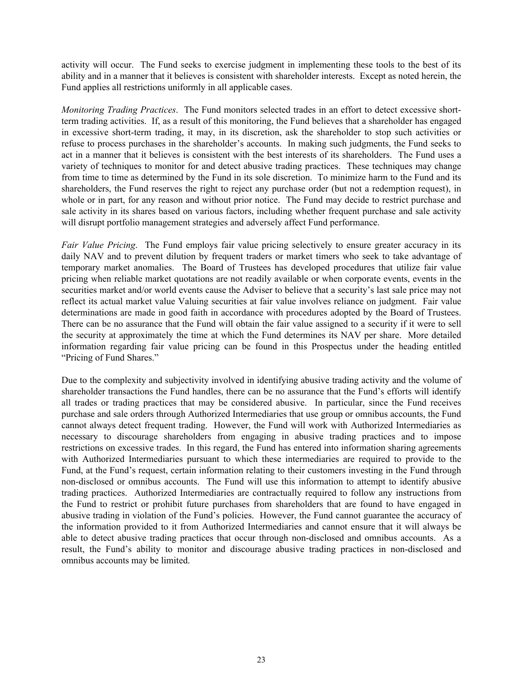activity will occur. The Fund seeks to exercise judgment in implementing these tools to the best of its ability and in a manner that it believes is consistent with shareholder interests. Except as noted herein, the Fund applies all restrictions uniformly in all applicable cases.

*Monitoring Trading Practices*. The Fund monitors selected trades in an effort to detect excessive shortterm trading activities. If, as a result of this monitoring, the Fund believes that a shareholder has engaged in excessive short-term trading, it may, in its discretion, ask the shareholder to stop such activities or refuse to process purchases in the shareholder's accounts. In making such judgments, the Fund seeks to act in a manner that it believes is consistent with the best interests of its shareholders. The Fund uses a variety of techniques to monitor for and detect abusive trading practices. These techniques may change from time to time as determined by the Fund in its sole discretion. To minimize harm to the Fund and its shareholders, the Fund reserves the right to reject any purchase order (but not a redemption request), in whole or in part, for any reason and without prior notice. The Fund may decide to restrict purchase and sale activity in its shares based on various factors, including whether frequent purchase and sale activity will disrupt portfolio management strategies and adversely affect Fund performance.

*Fair Value Pricing*. The Fund employs fair value pricing selectively to ensure greater accuracy in its daily NAV and to prevent dilution by frequent traders or market timers who seek to take advantage of temporary market anomalies. The Board of Trustees has developed procedures that utilize fair value pricing when reliable market quotations are not readily available or when corporate events, events in the securities market and/or world events cause the Adviser to believe that a security's last sale price may not reflect its actual market value Valuing securities at fair value involves reliance on judgment. Fair value determinations are made in good faith in accordance with procedures adopted by the Board of Trustees. There can be no assurance that the Fund will obtain the fair value assigned to a security if it were to sell the security at approximately the time at which the Fund determines its NAV per share. More detailed information regarding fair value pricing can be found in this Prospectus under the heading entitled "Pricing of Fund Shares."

Due to the complexity and subjectivity involved in identifying abusive trading activity and the volume of shareholder transactions the Fund handles, there can be no assurance that the Fund's efforts will identify all trades or trading practices that may be considered abusive. In particular, since the Fund receives purchase and sale orders through Authorized Intermediaries that use group or omnibus accounts, the Fund cannot always detect frequent trading. However, the Fund will work with Authorized Intermediaries as necessary to discourage shareholders from engaging in abusive trading practices and to impose restrictions on excessive trades. In this regard, the Fund has entered into information sharing agreements with Authorized Intermediaries pursuant to which these intermediaries are required to provide to the Fund, at the Fund's request, certain information relating to their customers investing in the Fund through non-disclosed or omnibus accounts. The Fund will use this information to attempt to identify abusive trading practices. Authorized Intermediaries are contractually required to follow any instructions from the Fund to restrict or prohibit future purchases from shareholders that are found to have engaged in abusive trading in violation of the Fund's policies. However, the Fund cannot guarantee the accuracy of the information provided to it from Authorized Intermediaries and cannot ensure that it will always be able to detect abusive trading practices that occur through non-disclosed and omnibus accounts. As a result, the Fund's ability to monitor and discourage abusive trading practices in non-disclosed and omnibus accounts may be limited.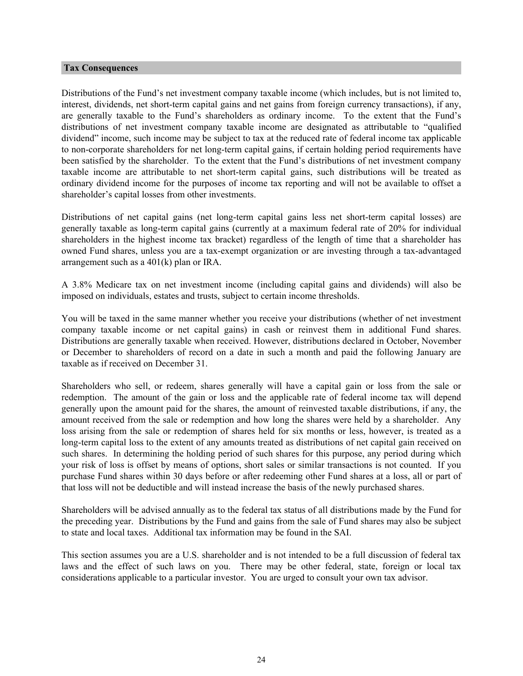#### <span id="page-26-0"></span>**Tax Consequences**

Distributions of the Fund's net investment company taxable income (which includes, but is not limited to, interest, dividends, net short-term capital gains and net gains from foreign currency transactions), if any, are generally taxable to the Fund's shareholders as ordinary income. To the extent that the Fund's distributions of net investment company taxable income are designated as attributable to "qualified dividend" income, such income may be subject to tax at the reduced rate of federal income tax applicable to non-corporate shareholders for net long-term capital gains, if certain holding period requirements have been satisfied by the shareholder. To the extent that the Fund's distributions of net investment company taxable income are attributable to net short-term capital gains, such distributions will be treated as ordinary dividend income for the purposes of income tax reporting and will not be available to offset a shareholder's capital losses from other investments.

Distributions of net capital gains (net long-term capital gains less net short-term capital losses) are generally taxable as long-term capital gains (currently at a maximum federal rate of 20% for individual shareholders in the highest income tax bracket) regardless of the length of time that a shareholder has owned Fund shares, unless you are a tax-exempt organization or are investing through a tax-advantaged arrangement such as a 401(k) plan or IRA.

A 3.8% Medicare tax on net investment income (including capital gains and dividends) will also be imposed on individuals, estates and trusts, subject to certain income thresholds.

You will be taxed in the same manner whether you receive your distributions (whether of net investment company taxable income or net capital gains) in cash or reinvest them in additional Fund shares. Distributions are generally taxable when received. However, distributions declared in October, November or December to shareholders of record on a date in such a month and paid the following January are taxable as if received on December 31.

Shareholders who sell, or redeem, shares generally will have a capital gain or loss from the sale or redemption. The amount of the gain or loss and the applicable rate of federal income tax will depend generally upon the amount paid for the shares, the amount of reinvested taxable distributions, if any, the amount received from the sale or redemption and how long the shares were held by a shareholder. Any loss arising from the sale or redemption of shares held for six months or less, however, is treated as a long-term capital loss to the extent of any amounts treated as distributions of net capital gain received on such shares. In determining the holding period of such shares for this purpose, any period during which your risk of loss is offset by means of options, short sales or similar transactions is not counted. If you purchase Fund shares within 30 days before or after redeeming other Fund shares at a loss, all or part of that loss will not be deductible and will instead increase the basis of the newly purchased shares.

Shareholders will be advised annually as to the federal tax status of all distributions made by the Fund for the preceding year. Distributions by the Fund and gains from the sale of Fund shares may also be subject to state and local taxes. Additional tax information may be found in the SAI.

This section assumes you are a U.S. shareholder and is not intended to be a full discussion of federal tax laws and the effect of such laws on you. There may be other federal, state, foreign or local tax considerations applicable to a particular investor. You are urged to consult your own tax advisor.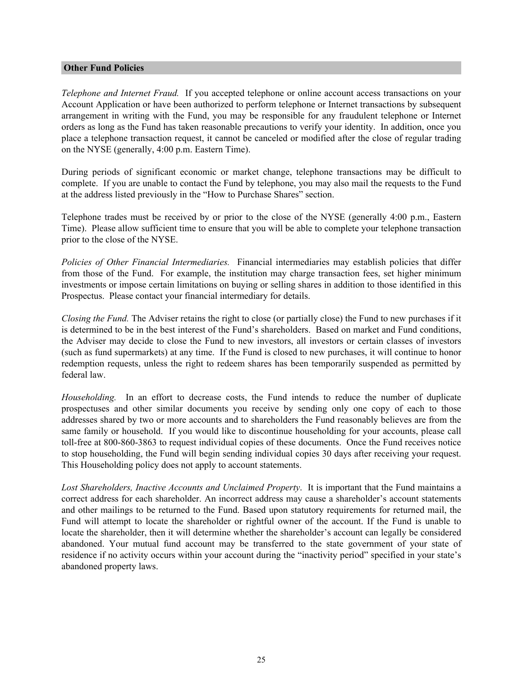### <span id="page-27-0"></span>**Other Fund Policies**

*Telephone and Internet Fraud.* If you accepted telephone or online account access transactions on your Account Application or have been authorized to perform telephone or Internet transactions by subsequent arrangement in writing with the Fund, you may be responsible for any fraudulent telephone or Internet orders as long as the Fund has taken reasonable precautions to verify your identity. In addition, once you place a telephone transaction request, it cannot be canceled or modified after the close of regular trading on the NYSE (generally, 4:00 p.m. Eastern Time).

During periods of significant economic or market change, telephone transactions may be difficult to complete. If you are unable to contact the Fund by telephone, you may also mail the requests to the Fund at the address listed previously in the "How to Purchase Shares" section.

Telephone trades must be received by or prior to the close of the NYSE (generally 4:00 p.m., Eastern Time). Please allow sufficient time to ensure that you will be able to complete your telephone transaction prior to the close of the NYSE.

*Policies of Other Financial Intermediaries.* Financial intermediaries may establish policies that differ from those of the Fund. For example, the institution may charge transaction fees, set higher minimum investments or impose certain limitations on buying or selling shares in addition to those identified in this Prospectus. Please contact your financial intermediary for details.

*Closing the Fund.* The Adviser retains the right to close (or partially close) the Fund to new purchases if it is determined to be in the best interest of the Fund's shareholders. Based on market and Fund conditions, the Adviser may decide to close the Fund to new investors, all investors or certain classes of investors (such as fund supermarkets) at any time. If the Fund is closed to new purchases, it will continue to honor redemption requests, unless the right to redeem shares has been temporarily suspended as permitted by federal law.

*Householding.* In an effort to decrease costs, the Fund intends to reduce the number of duplicate prospectuses and other similar documents you receive by sending only one copy of each to those addresses shared by two or more accounts and to shareholders the Fund reasonably believes are from the same family or household. If you would like to discontinue householding for your accounts, please call toll-free at 800-860-3863 to request individual copies of these documents. Once the Fund receives notice to stop householding, the Fund will begin sending individual copies 30 days after receiving your request. This Householding policy does not apply to account statements.

*Lost Shareholders, Inactive Accounts and Unclaimed Property*. It is important that the Fund maintains a correct address for each shareholder. An incorrect address may cause a shareholder's account statements and other mailings to be returned to the Fund. Based upon statutory requirements for returned mail, the Fund will attempt to locate the shareholder or rightful owner of the account. If the Fund is unable to locate the shareholder, then it will determine whether the shareholder's account can legally be considered abandoned. Your mutual fund account may be transferred to the state government of your state of residence if no activity occurs within your account during the "inactivity period" specified in your state's abandoned property laws.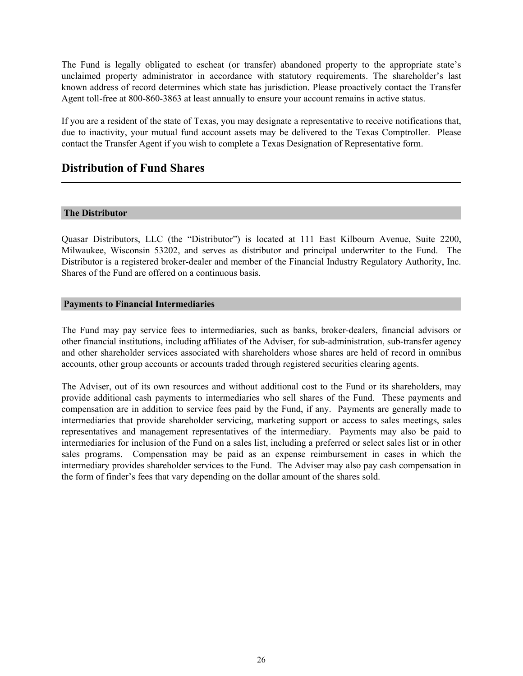<span id="page-28-0"></span>The Fund is legally obligated to escheat (or transfer) abandoned property to the appropriate state's unclaimed property administrator in accordance with statutory requirements. The shareholder's last known address of record determines which state has jurisdiction. Please proactively contact the Transfer Agent toll-free at 800-860-3863 at least annually to ensure your account remains in active status.

If you are a resident of the state of Texas, you may designate a representative to receive notifications that, due to inactivity, your mutual fund account assets may be delivered to the Texas Comptroller. Please contact the Transfer Agent if you wish to complete a Texas Designation of Representative form.

### **Distribution of Fund Shares**

### **The Distributor**

Quasar Distributors, LLC (the "Distributor") is located at 111 East Kilbourn Avenue, Suite 2200, Milwaukee, Wisconsin 53202, and serves as distributor and principal underwriter to the Fund. The Distributor is a registered broker-dealer and member of the Financial Industry Regulatory Authority, Inc. Shares of the Fund are offered on a continuous basis.

### **Payments to Financial Intermediaries**

The Fund may pay service fees to intermediaries, such as banks, broker-dealers, financial advisors or other financial institutions, including affiliates of the Adviser, for sub-administration, sub-transfer agency and other shareholder services associated with shareholders whose shares are held of record in omnibus accounts, other group accounts or accounts traded through registered securities clearing agents.

The Adviser, out of its own resources and without additional cost to the Fund or its shareholders, may provide additional cash payments to intermediaries who sell shares of the Fund. These payments and compensation are in addition to service fees paid by the Fund, if any. Payments are generally made to intermediaries that provide shareholder servicing, marketing support or access to sales meetings, sales representatives and management representatives of the intermediary. Payments may also be paid to intermediaries for inclusion of the Fund on a sales list, including a preferred or select sales list or in other sales programs. Compensation may be paid as an expense reimbursement in cases in which the intermediary provides shareholder services to the Fund. The Adviser may also pay cash compensation in the form of finder's fees that vary depending on the dollar amount of the shares sold.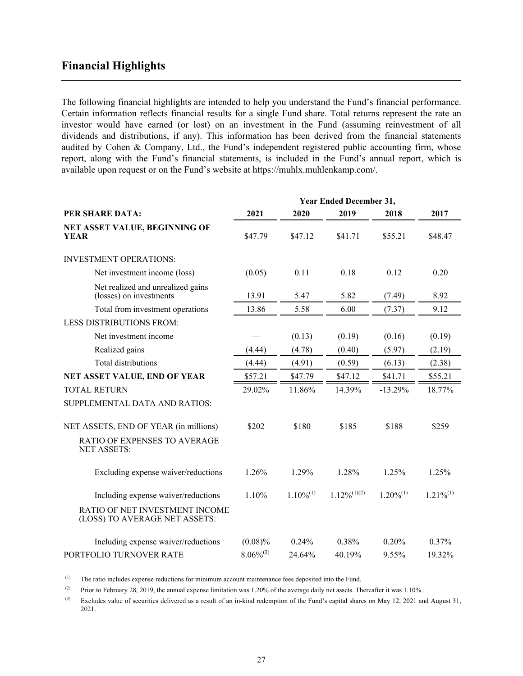### <span id="page-29-0"></span>**Financial Highlights**

The following financial highlights are intended to help you understand the Fund's financial performance. Certain information reflects financial results for a single Fund share. Total returns represent the rate an investor would have earned (or lost) on an investment in the Fund (assuming reinvestment of all dividends and distributions, if any). This information has been derived from the financial statements audited by Cohen & Company, Ltd., the Fund's independent registered public accounting firm, whose report, along with the Fund's financial statements, is included in the Fund's annual report, which is available upon request or on the Fund's website at https://muhlx.muhlenkamp.com/.

|                                                                 | Year Ended December 31, |                |                  |                |                |
|-----------------------------------------------------------------|-------------------------|----------------|------------------|----------------|----------------|
| PER SHARE DATA:                                                 | 2021                    | 2020           | 2019             | 2018           | 2017           |
| NET ASSET VALUE, BEGINNING OF<br><b>YEAR</b>                    | \$47.79                 | \$47.12        | \$41.71          | \$55.21        | \$48.47        |
| <b>INVESTMENT OPERATIONS:</b>                                   |                         |                |                  |                |                |
| Net investment income (loss)                                    | (0.05)                  | 0.11           | 0.18             | 0.12           | 0.20           |
| Net realized and unrealized gains<br>(losses) on investments    | 13.91                   | 5.47           | 5.82             | (7.49)         | 8.92           |
| Total from investment operations                                | 13.86                   | 5.58           | 6.00             | (7.37)         | 9.12           |
| <b>LESS DISTRIBUTIONS FROM:</b>                                 |                         |                |                  |                |                |
| Net investment income                                           |                         | (0.13)         | (0.19)           | (0.16)         | (0.19)         |
| Realized gains                                                  | (4.44)                  | (4.78)         | (0.40)           | (5.97)         | (2.19)         |
| <b>Total distributions</b>                                      | (4.44)                  | (4.91)         | (0.59)           | (6.13)         | (2.38)         |
| NET ASSET VALUE, END OF YEAR                                    | \$57.21                 | \$47.79        | \$47.12          | \$41.71        | \$55.21        |
| <b>TOTAL RETURN</b>                                             | 29.02%                  | 11.86%         | 14.39%           | $-13.29%$      | 18.77%         |
| SUPPLEMENTAL DATA AND RATIOS:                                   |                         |                |                  |                |                |
| NET ASSETS, END OF YEAR (in millions)                           | \$202                   | \$180          | \$185            | \$188          | \$259          |
| RATIO OF EXPENSES TO AVERAGE<br><b>NET ASSETS:</b>              |                         |                |                  |                |                |
| Excluding expense waiver/reductions                             | 1.26%                   | 1.29%          | 1.28%            | 1.25%          | 1.25%          |
| Including expense waiver/reductions                             | 1.10%                   | $1.10\%^{(1)}$ | $1.12\%/(1)(2)}$ | $1.20\%^{(1)}$ | $1.21\%^{(1)}$ |
| RATIO OF NET INVESTMENT INCOME<br>(LOSS) TO AVERAGE NET ASSETS: |                         |                |                  |                |                |
| Including expense waiver/reductions                             | $(0.08)\%$              | 0.24%          | 0.38%            | 0.20%          | 0.37%          |
| PORTFOLIO TURNOVER RATE                                         | $8.06\%^{(3)}$          | 24.64%         | 40.19%           | 9.55%          | 19.32%         |

(1) The ratio includes expense reductions for minimum account maintenance fees deposited into the Fund.

(2) Prior to February 28, 2019, the annual expense limitation was 1.20% of the average daily net assets. Thereafter it was 1.10%.

 $^{(3)}$  Excludes value of securities delivered as a result of an in-kind redemption of the Fund's capital shares on May 12, 2021 and August 31, 2021.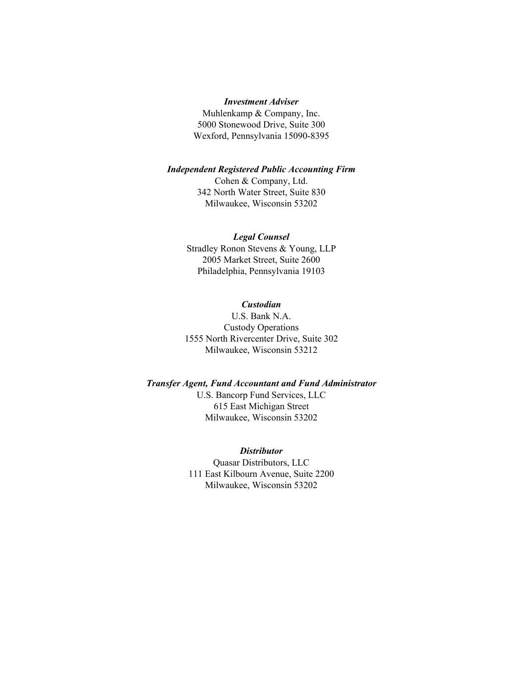#### *Investment Adviser*

Muhlenkamp & Company, Inc. 5000 Stonewood Drive, Suite 300 Wexford, Pennsylvania 15090-8395

#### *Independent Registered Public Accounting Firm*

Cohen & Company, Ltd. 342 North Water Street, Suite 830 Milwaukee, Wisconsin 53202

#### *Legal Counsel*

Stradley Ronon Stevens & Young, LLP 2005 Market Street, Suite 2600 Philadelphia, Pennsylvania 19103

### *Custodian*

U.S. Bank N.A. Custody Operations 1555 North Rivercenter Drive, Suite 302 Milwaukee, Wisconsin 53212

#### *Transfer Agent, Fund Accountant and Fund Administrator*

U.S. Bancorp Fund Services, LLC 615 East Michigan Street Milwaukee, Wisconsin 53202

### *Distributor*

Quasar Distributors, LLC 111 East Kilbourn Avenue, Suite 2200 Milwaukee, Wisconsin 53202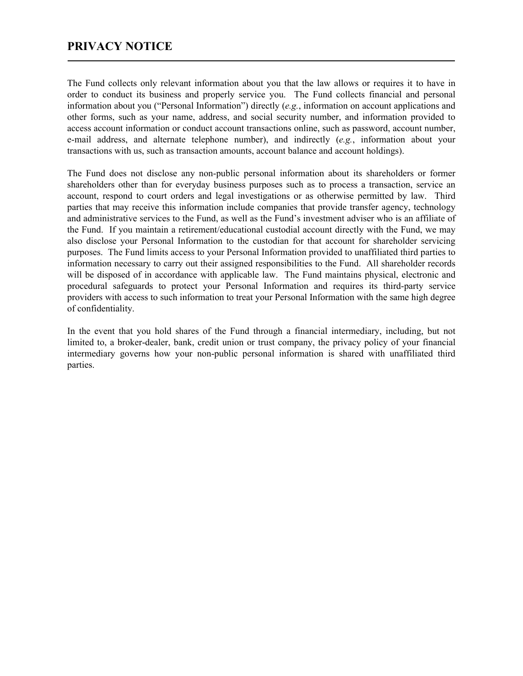The Fund collects only relevant information about you that the law allows or requires it to have in order to conduct its business and properly service you. The Fund collects financial and personal information about you ("Personal Information") directly (*e.g.*, information on account applications and other forms, such as your name, address, and social security number, and information provided to access account information or conduct account transactions online, such as password, account number, e-mail address, and alternate telephone number), and indirectly (*e.g.*, information about your transactions with us, such as transaction amounts, account balance and account holdings).

The Fund does not disclose any non-public personal information about its shareholders or former shareholders other than for everyday business purposes such as to process a transaction, service an account, respond to court orders and legal investigations or as otherwise permitted by law. Third parties that may receive this information include companies that provide transfer agency, technology and administrative services to the Fund, as well as the Fund's investment adviser who is an affiliate of the Fund. If you maintain a retirement/educational custodial account directly with the Fund, we may also disclose your Personal Information to the custodian for that account for shareholder servicing purposes. The Fund limits access to your Personal Information provided to unaffiliated third parties to information necessary to carry out their assigned responsibilities to the Fund. All shareholder records will be disposed of in accordance with applicable law. The Fund maintains physical, electronic and procedural safeguards to protect your Personal Information and requires its third-party service providers with access to such information to treat your Personal Information with the same high degree of confidentiality.

In the event that you hold shares of the Fund through a financial intermediary, including, but not limited to, a broker-dealer, bank, credit union or trust company, the privacy policy of your financial intermediary governs how your non-public personal information is shared with unaffiliated third parties.